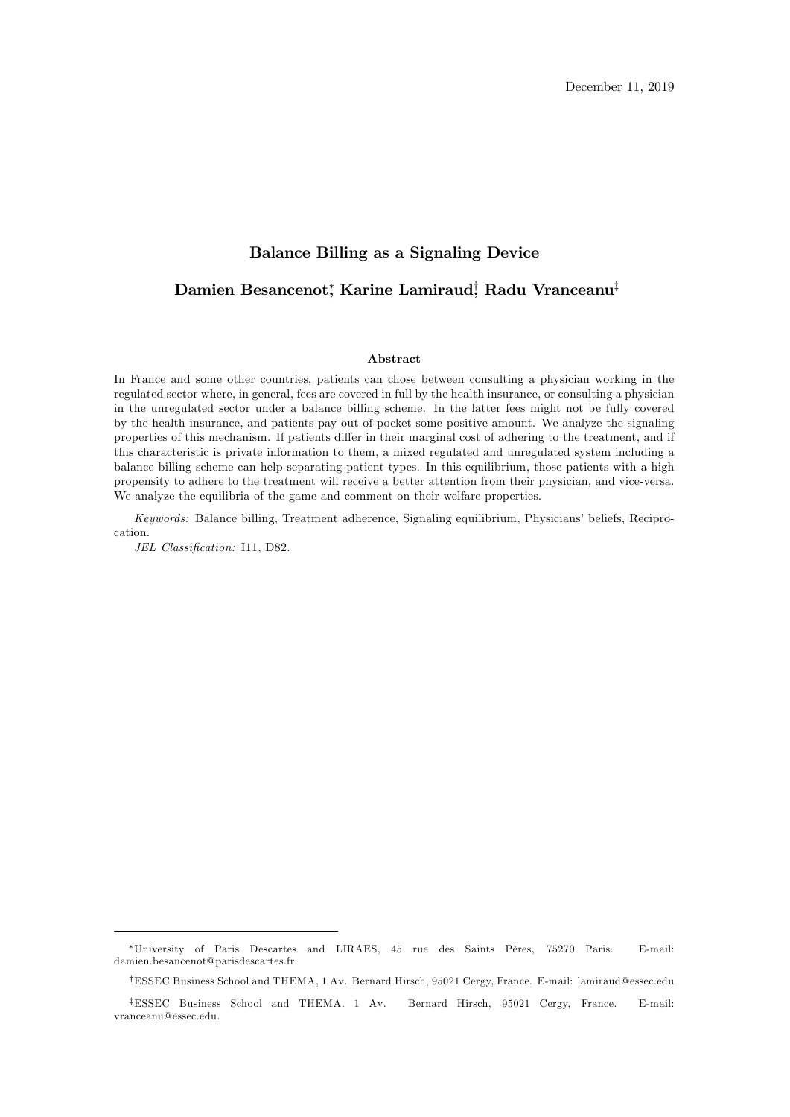# Balance Billing as a Signaling Device

### Damien Besancenot; Karine Lamiraud¦ Radu Vranceanu<sup>‡</sup>

#### Abstract

In France and some other countries, patients can chose between consulting a physician working in the regulated sector where, in general, fees are covered in full by the health insurance, or consulting a physician in the unregulated sector under a balance billing scheme. In the latter fees might not be fully covered by the health insurance, and patients pay out-of-pocket some positive amount. We analyze the signaling properties of this mechanism. If patients differ in their marginal cost of adhering to the treatment, and if this characteristic is private information to them, a mixed regulated and unregulated system including a balance billing scheme can help separating patient types. In this equilibrium, those patients with a high propensity to adhere to the treatment will receive a better attention from their physician, and vice-versa. We analyze the equilibria of the game and comment on their welfare properties.

Keywords: Balance billing, Treatment adherence, Signaling equilibrium, Physicians' beliefs, Reciprocation.

JEL Classification: I11, D82.

University of Paris Descartes and LIRAES, 45 rue des Saints PËres, 75270 Paris. E-mail: damien.besancenot@parisdescartes.fr.

yESSEC Business School and THEMA, 1 Av. Bernard Hirsch, 95021 Cergy, France. E-mail: lamiraud@essec.edu

<sup>&</sup>lt;sup>‡</sup>ESSEC Business School and THEMA. 1 Av. Bernard Hirsch, 95021 Cergy, France. E-mail: vranceanu@essec.edu.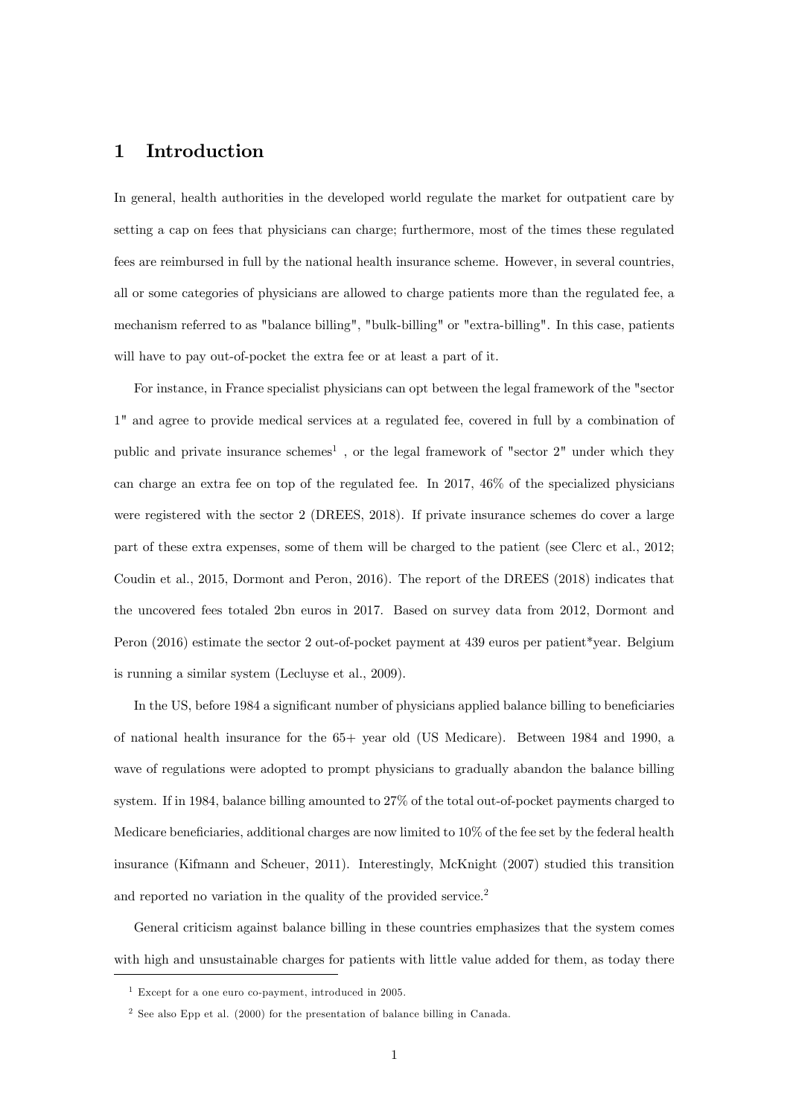## 1 Introduction

In general, health authorities in the developed world regulate the market for outpatient care by setting a cap on fees that physicians can charge; furthermore, most of the times these regulated fees are reimbursed in full by the national health insurance scheme. However, in several countries, all or some categories of physicians are allowed to charge patients more than the regulated fee, a mechanism referred to as "balance billing", "bulk-billing" or "extra-billing". In this case, patients will have to pay out-of-pocket the extra fee or at least a part of it.

For instance, in France specialist physicians can opt between the legal framework of the "sector 1" and agree to provide medical services at a regulated fee, covered in full by a combination of public and private insurance schemes<sup>1</sup>, or the legal framework of "sector 2" under which they can charge an extra fee on top of the regulated fee. In 2017, 46% of the specialized physicians were registered with the sector 2 (DREES, 2018). If private insurance schemes do cover a large part of these extra expenses, some of them will be charged to the patient (see Clerc et al., 2012; Coudin et al., 2015, Dormont and Peron, 2016). The report of the DREES (2018) indicates that the uncovered fees totaled 2bn euros in 2017. Based on survey data from 2012, Dormont and Peron (2016) estimate the sector 2 out-of-pocket payment at 439 euros per patient\*year. Belgium is running a similar system (Lecluyse et al., 2009).

In the US, before 1984 a significant number of physicians applied balance billing to beneficiaries of national health insurance for the 65+ year old (US Medicare). Between 1984 and 1990, a wave of regulations were adopted to prompt physicians to gradually abandon the balance billing system. If in 1984, balance billing amounted to 27% of the total out-of-pocket payments charged to Medicare beneficiaries, additional charges are now limited to  $10\%$  of the fee set by the federal health insurance (Kifmann and Scheuer, 2011). Interestingly, McKnight (2007) studied this transition and reported no variation in the quality of the provided service.<sup>2</sup>

General criticism against balance billing in these countries emphasizes that the system comes with high and unsustainable charges for patients with little value added for them, as today there

 $1$  Except for a one euro co-payment, introduced in 2005.

<sup>2</sup> See also Epp et al. (2000) for the presentation of balance billing in Canada.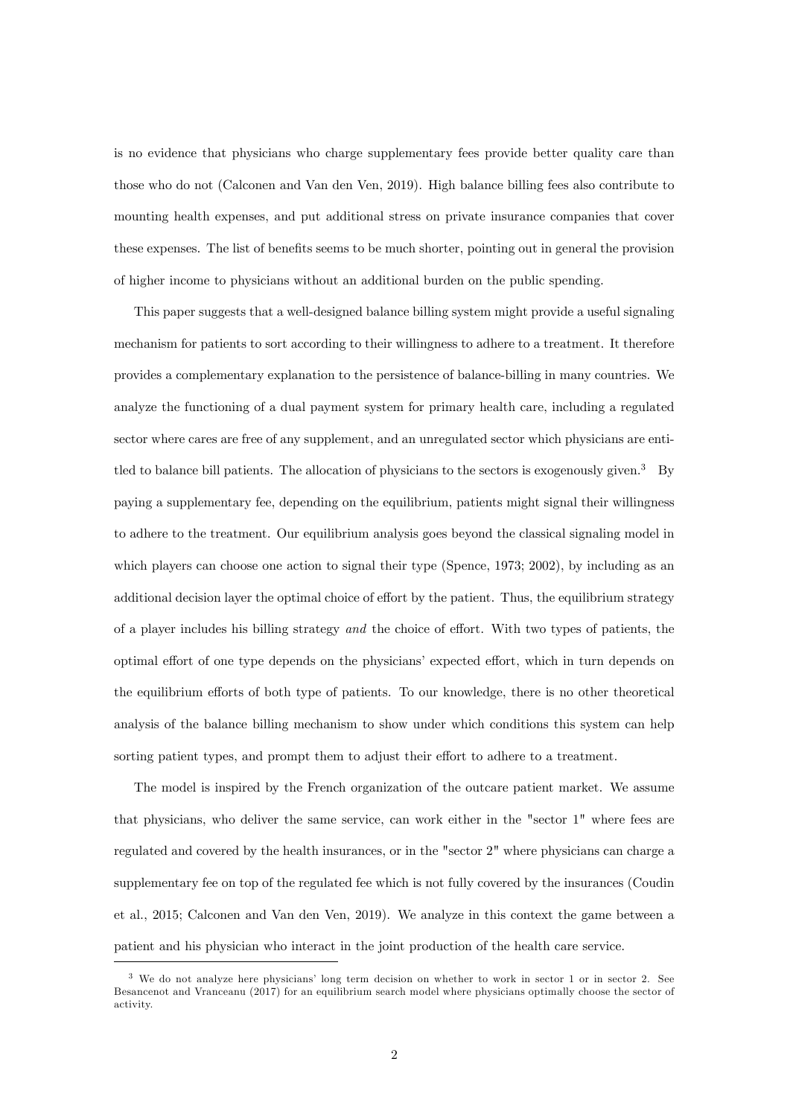is no evidence that physicians who charge supplementary fees provide better quality care than those who do not (Calconen and Van den Ven, 2019). High balance billing fees also contribute to mounting health expenses, and put additional stress on private insurance companies that cover these expenses. The list of benefits seems to be much shorter, pointing out in general the provision of higher income to physicians without an additional burden on the public spending.

This paper suggests that a well-designed balance billing system might provide a useful signaling mechanism for patients to sort according to their willingness to adhere to a treatment. It therefore provides a complementary explanation to the persistence of balance-billing in many countries. We analyze the functioning of a dual payment system for primary health care, including a regulated sector where cares are free of any supplement, and an unregulated sector which physicians are entitled to balance bill patients. The allocation of physicians to the sectors is exogenously given.<sup>3</sup> By paying a supplementary fee, depending on the equilibrium, patients might signal their willingness to adhere to the treatment. Our equilibrium analysis goes beyond the classical signaling model in which players can choose one action to signal their type (Spence, 1973; 2002), by including as an additional decision layer the optimal choice of effort by the patient. Thus, the equilibrium strategy of a player includes his billing strategy and the choice of effort. With two types of patients, the optimal effort of one type depends on the physicians' expected effort, which in turn depends on the equilibrium efforts of both type of patients. To our knowledge, there is no other theoretical analysis of the balance billing mechanism to show under which conditions this system can help sorting patient types, and prompt them to adjust their effort to adhere to a treatment.

The model is inspired by the French organization of the outcare patient market. We assume that physicians, who deliver the same service, can work either in the "sector 1" where fees are regulated and covered by the health insurances, or in the "sector 2" where physicians can charge a supplementary fee on top of the regulated fee which is not fully covered by the insurances (Coudin et al., 2015; Calconen and Van den Ven, 2019). We analyze in this context the game between a patient and his physician who interact in the joint production of the health care service.

<sup>&</sup>lt;sup>3</sup> We do not analyze here physicians' long term decision on whether to work in sector 1 or in sector 2. See Besancenot and Vranceanu (2017) for an equilibrium search model where physicians optimally choose the sector of activity.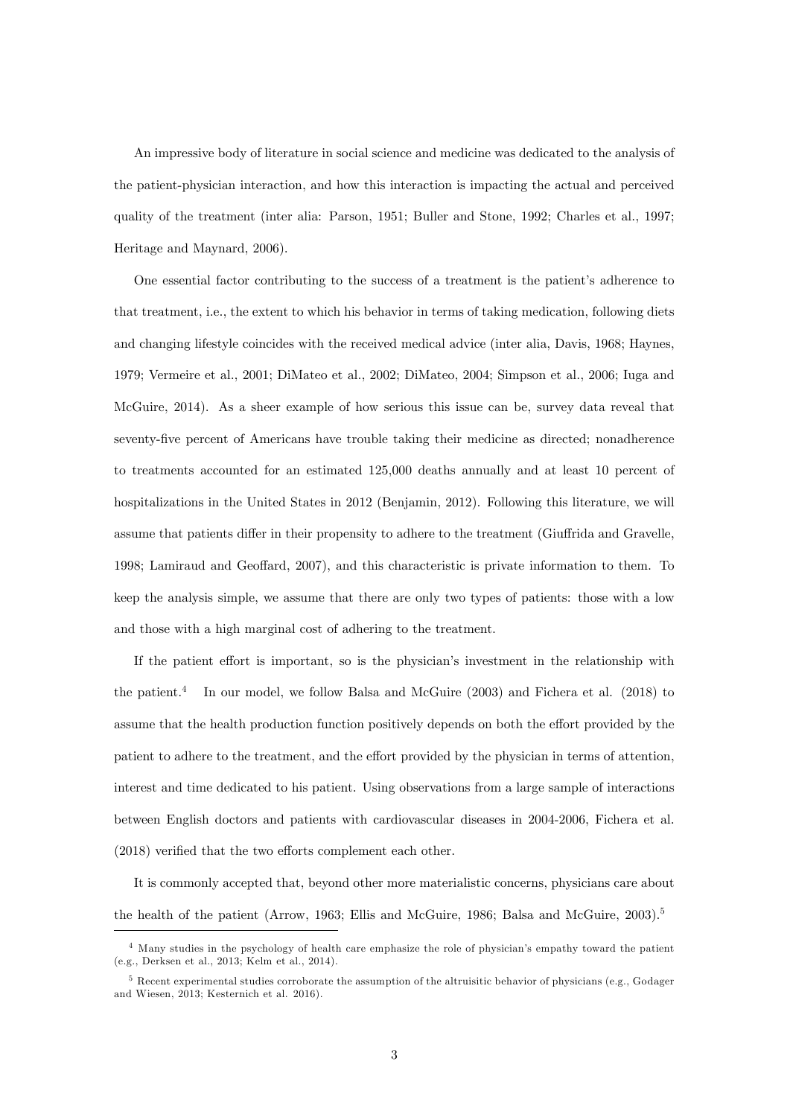An impressive body of literature in social science and medicine was dedicated to the analysis of the patient-physician interaction, and how this interaction is impacting the actual and perceived quality of the treatment (inter alia: Parson, 1951; Buller and Stone, 1992; Charles et al., 1997; Heritage and Maynard, 2006).

One essential factor contributing to the success of a treatment is the patient's adherence to that treatment, i.e., the extent to which his behavior in terms of taking medication, following diets and changing lifestyle coincides with the received medical advice (inter alia, Davis, 1968; Haynes, 1979; Vermeire et al., 2001; DiMateo et al., 2002; DiMateo, 2004; Simpson et al., 2006; Iuga and McGuire, 2014). As a sheer example of how serious this issue can be, survey data reveal that seventy-Öve percent of Americans have trouble taking their medicine as directed; nonadherence to treatments accounted for an estimated 125,000 deaths annually and at least 10 percent of hospitalizations in the United States in 2012 (Benjamin, 2012). Following this literature, we will assume that patients differ in their propensity to adhere to the treatment (Giuffrida and Gravelle, 1998; Lamiraud and Geoffard, 2007), and this characteristic is private information to them. To keep the analysis simple, we assume that there are only two types of patients: those with a low and those with a high marginal cost of adhering to the treatment.

If the patient effort is important, so is the physician's investment in the relationship with the patient.<sup>4</sup> In our model, we follow Balsa and McGuire (2003) and Fichera et al. (2018) to assume that the health production function positively depends on both the effort provided by the patient to adhere to the treatment, and the effort provided by the physician in terms of attention, interest and time dedicated to his patient. Using observations from a large sample of interactions between English doctors and patients with cardiovascular diseases in 2004-2006, Fichera et al.  $(2018)$  verified that the two efforts complement each other.

It is commonly accepted that, beyond other more materialistic concerns, physicians care about the health of the patient (Arrow, 1963; Ellis and McGuire, 1986; Balsa and McGuire, 2003).<sup>5</sup>

<sup>&</sup>lt;sup>4</sup> Many studies in the psychology of health care emphasize the role of physician's empathy toward the patient (e.g., Derksen et al., 2013; Kelm et al., 2014).

 $5$  Recent experimental studies corroborate the assumption of the altruisitic behavior of physicians (e.g., Godager and Wiesen, 2013; Kesternich et al. 2016).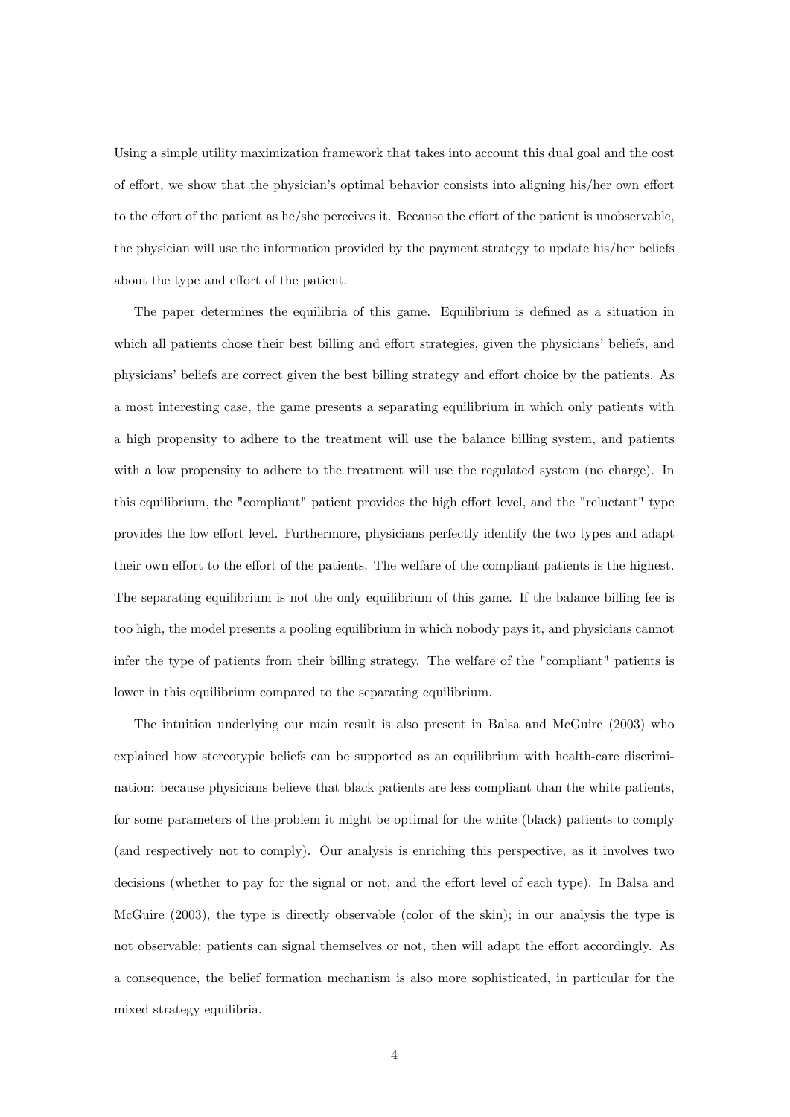Using a simple utility maximization framework that takes into account this dual goal and the cost of effort, we show that the physician's optimal behavior consists into aligning his/her own effort to the effort of the patient as he/she perceives it. Because the effort of the patient is unobservable. the physician will use the information provided by the payment strategy to update his/her beliefs about the type and effort of the patient.

The paper determines the equilibria of this game. Equilibrium is defined as a situation in which all patients chose their best billing and effort strategies, given the physicians' beliefs, and physicians' beliefs are correct given the best billing strategy and effort choice by the patients. As a most interesting case, the game presents a separating equilibrium in which only patients with a high propensity to adhere to the treatment will use the balance billing system, and patients with a low propensity to adhere to the treatment will use the regulated system (no charge). In this equilibrium, the "compliant" patient provides the high effort level, and the "reluctant" type provides the low effort level. Furthermore, physicians perfectly identify the two types and adapt their own effort to the effort of the patients. The welfare of the compliant patients is the highest. The separating equilibrium is not the only equilibrium of this game. If the balance billing fee is too high, the model presents a pooling equilibrium in which nobody pays it, and physicians cannot infer the type of patients from their billing strategy. The welfare of the "compliant" patients is lower in this equilibrium compared to the separating equilibrium.

The intuition underlying our main result is also present in Balsa and McGuire (2003) who explained how stereotypic beliefs can be supported as an equilibrium with health-care discrimination: because physicians believe that black patients are less compliant than the white patients, for some parameters of the problem it might be optimal for the white (black) patients to comply (and respectively not to comply). Our analysis is enriching this perspective, as it involves two decisions (whether to pay for the signal or not, and the effort level of each type). In Balsa and McGuire (2003), the type is directly observable (color of the skin); in our analysis the type is not observable; patients can signal themselves or not, then will adapt the effort accordingly. As a consequence, the belief formation mechanism is also more sophisticated, in particular for the mixed strategy equilibria.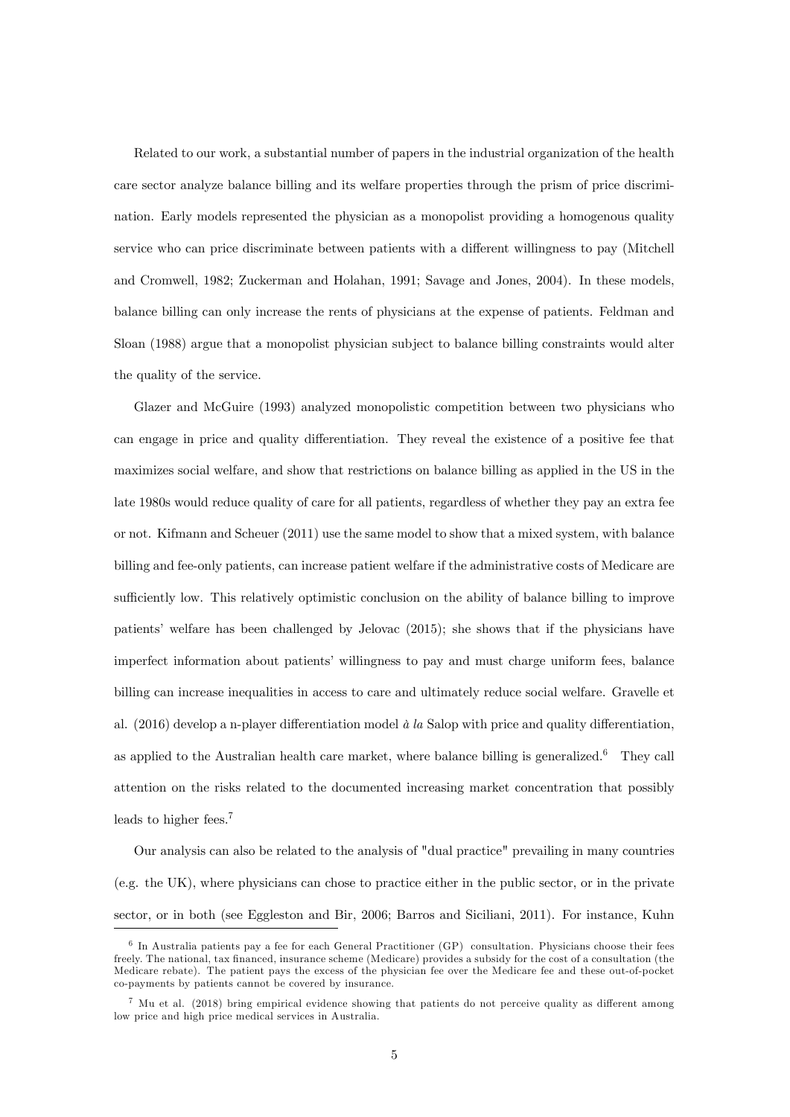Related to our work, a substantial number of papers in the industrial organization of the health care sector analyze balance billing and its welfare properties through the prism of price discrimination. Early models represented the physician as a monopolist providing a homogenous quality service who can price discriminate between patients with a different willingness to pay (Mitchell and Cromwell, 1982; Zuckerman and Holahan, 1991; Savage and Jones, 2004). In these models, balance billing can only increase the rents of physicians at the expense of patients. Feldman and Sloan (1988) argue that a monopolist physician subject to balance billing constraints would alter the quality of the service.

Glazer and McGuire (1993) analyzed monopolistic competition between two physicians who can engage in price and quality differentiation. They reveal the existence of a positive fee that maximizes social welfare, and show that restrictions on balance billing as applied in the US in the late 1980s would reduce quality of care for all patients, regardless of whether they pay an extra fee or not. Kifmann and Scheuer (2011) use the same model to show that a mixed system, with balance billing and fee-only patients, can increase patient welfare if the administrative costs of Medicare are sufficiently low. This relatively optimistic conclusion on the ability of balance billing to improve patientsí welfare has been challenged by Jelovac (2015); she shows that if the physicians have imperfect information about patients' willingness to pay and must charge uniform fees, balance billing can increase inequalities in access to care and ultimately reduce social welfare. Gravelle et al.  $(2016)$  develop a n-player differentiation model  $\dot{a}$  la Salop with price and quality differentiation, as applied to the Australian health care market, where balance billing is generalized.<sup>6</sup> They call attention on the risks related to the documented increasing market concentration that possibly leads to higher fees.<sup>7</sup>

Our analysis can also be related to the analysis of "dual practice" prevailing in many countries (e.g. the UK), where physicians can chose to practice either in the public sector, or in the private sector, or in both (see Eggleston and Bir, 2006; Barros and Siciliani, 2011). For instance, Kuhn

<sup>&</sup>lt;sup>6</sup> In Australia patients pay a fee for each General Practitioner (GP) consultation. Physicians choose their fees freely. The national, tax financed, insurance scheme (Medicare) provides a subsidy for the cost of a consultation (the Medicare rebate). The patient pays the excess of the physician fee over the Medicare fee and these out-of-pocket co-payments by patients cannot be covered by insurance.

 $7$  Mu et al. (2018) bring empirical evidence showing that patients do not perceive quality as different among low price and high price medical services in Australia.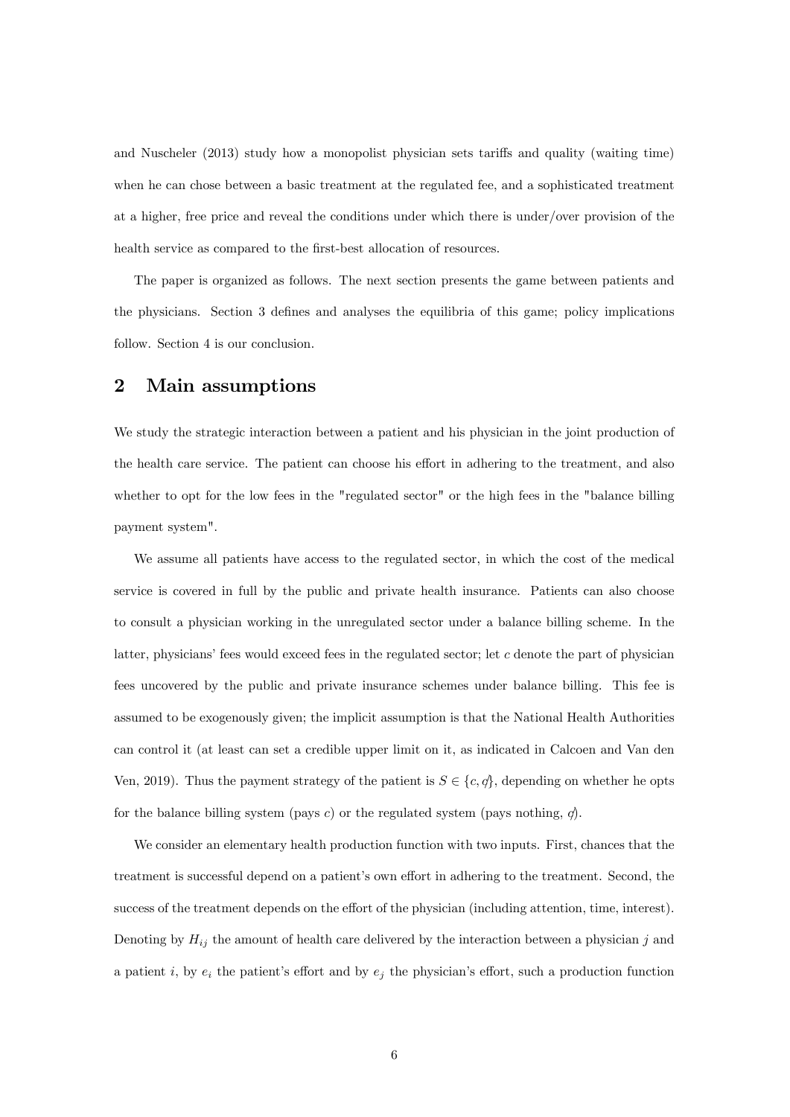and Nuscheler  $(2013)$  study how a monopolist physician sets tariffs and quality (waiting time) when he can chose between a basic treatment at the regulated fee, and a sophisticated treatment at a higher, free price and reveal the conditions under which there is under/over provision of the health service as compared to the first-best allocation of resources.

The paper is organized as follows. The next section presents the game between patients and the physicians. Section 3 defines and analyses the equilibria of this game; policy implications follow. Section 4 is our conclusion.

### 2 Main assumptions

We study the strategic interaction between a patient and his physician in the joint production of the health care service. The patient can choose his effort in adhering to the treatment, and also whether to opt for the low fees in the "regulated sector" or the high fees in the "balance billing payment system".

We assume all patients have access to the regulated sector, in which the cost of the medical service is covered in full by the public and private health insurance. Patients can also choose to consult a physician working in the unregulated sector under a balance billing scheme. In the latter, physicians' fees would exceed fees in the regulated sector; let c denote the part of physician fees uncovered by the public and private insurance schemes under balance billing. This fee is assumed to be exogenously given; the implicit assumption is that the National Health Authorities can control it (at least can set a credible upper limit on it, as indicated in Calcoen and Van den Ven, 2019). Thus the payment strategy of the patient is  $S \in \{c, q\}$ , depending on whether he opts for the balance billing system (pays c) or the regulated system (pays nothing,  $q$ ).

We consider an elementary health production function with two inputs. First, chances that the treatment is successful depend on a patient's own effort in adhering to the treatment. Second, the success of the treatment depends on the effort of the physician (including attention, time, interest). Denoting by  $H_{ij}$  the amount of health care delivered by the interaction between a physician j and a patient i, by  $e_i$  the patient's effort and by  $e_j$  the physician's effort, such a production function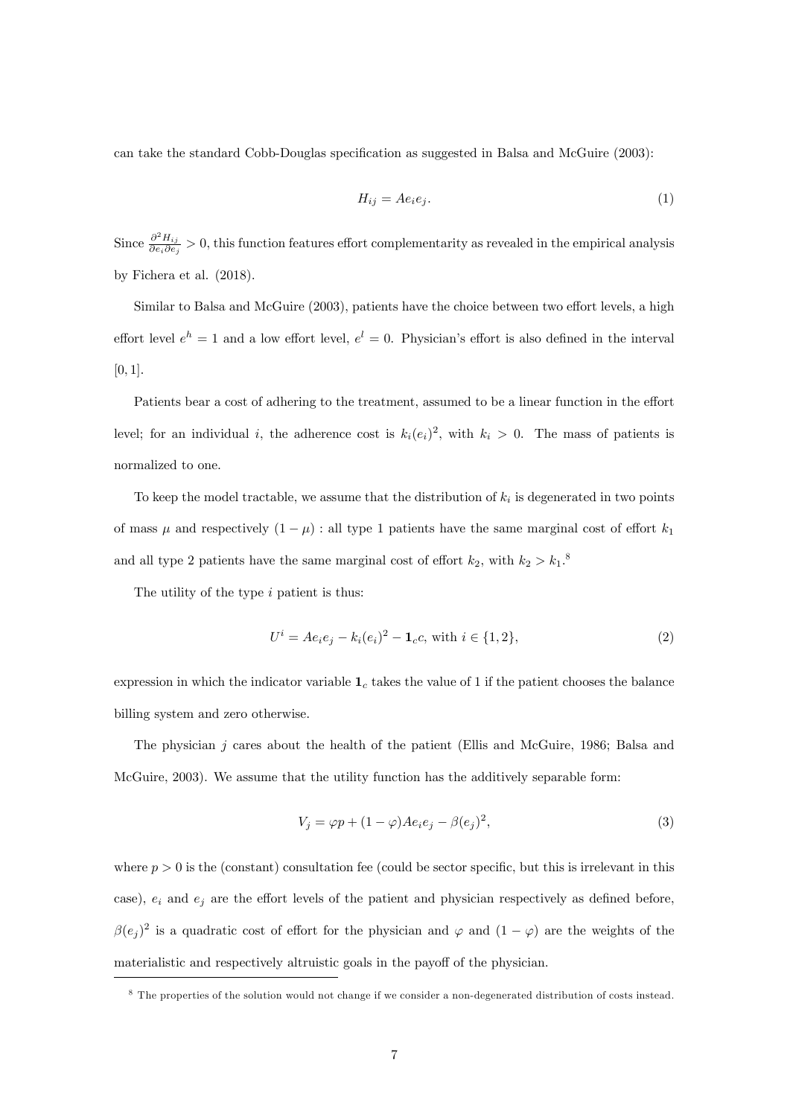can take the standard Cobb-Douglas specification as suggested in Balsa and McGuire (2003):

$$
H_{ij} = Ae_i e_j. \tag{1}
$$

Since  $\frac{\partial^2 H_{ij}}{\partial e_i \partial e_j}$  $\frac{\partial}{\partial e_i \partial e_j} > 0$ , this function features effort complementarity as revealed in the empirical analysis by Fichera et al. (2018).

Similar to Balsa and McGuire (2003), patients have the choice between two effort levels, a high effort level  $e^h = 1$  and a low effort level,  $e^l = 0$ . Physician's effort is also defined in the interval  $[0, 1].$ 

Patients bear a cost of adhering to the treatment, assumed to be a linear function in the effort level; for an individual i, the adherence cost is  $k_i(e_i)^2$ , with  $k_i > 0$ . The mass of patients is normalized to one.

To keep the model tractable, we assume that the distribution of  $k_i$  is degenerated in two points of mass  $\mu$  and respectively  $(1 - \mu)$ : all type 1 patients have the same marginal cost of effort  $k_1$ and all type 2 patients have the same marginal cost of effort  $k_2$ , with  $k_2 > k_1$ .<sup>8</sup>

The utility of the type  $i$  patient is thus:

$$
U^{i} = Ae_{i}e_{j} - k_{i}(e_{i})^{2} - \mathbf{1}_{c}c, \text{ with } i \in \{1, 2\},\tag{2}
$$

expression in which the indicator variable  $1_c$  takes the value of 1 if the patient chooses the balance billing system and zero otherwise.

The physician  $j$  cares about the health of the patient (Ellis and McGuire, 1986; Balsa and McGuire, 2003). We assume that the utility function has the additively separable form:

$$
V_j = \varphi p + (1 - \varphi) A e_i e_j - \beta (e_j)^2,
$$
\n(3)

where  $p > 0$  is the (constant) consultation fee (could be sector specific, but this is irrelevant in this case),  $e_i$  and  $e_j$  are the effort levels of the patient and physician respectively as defined before,  $\beta(e_j)^2$  is a quadratic cost of effort for the physician and  $\varphi$  and  $(1 - \varphi)$  are the weights of the materialistic and respectively altruistic goals in the payoff of the physician.

<sup>8</sup> The properties of the solution would not change if we consider a non-degenerated distribution of costs instead.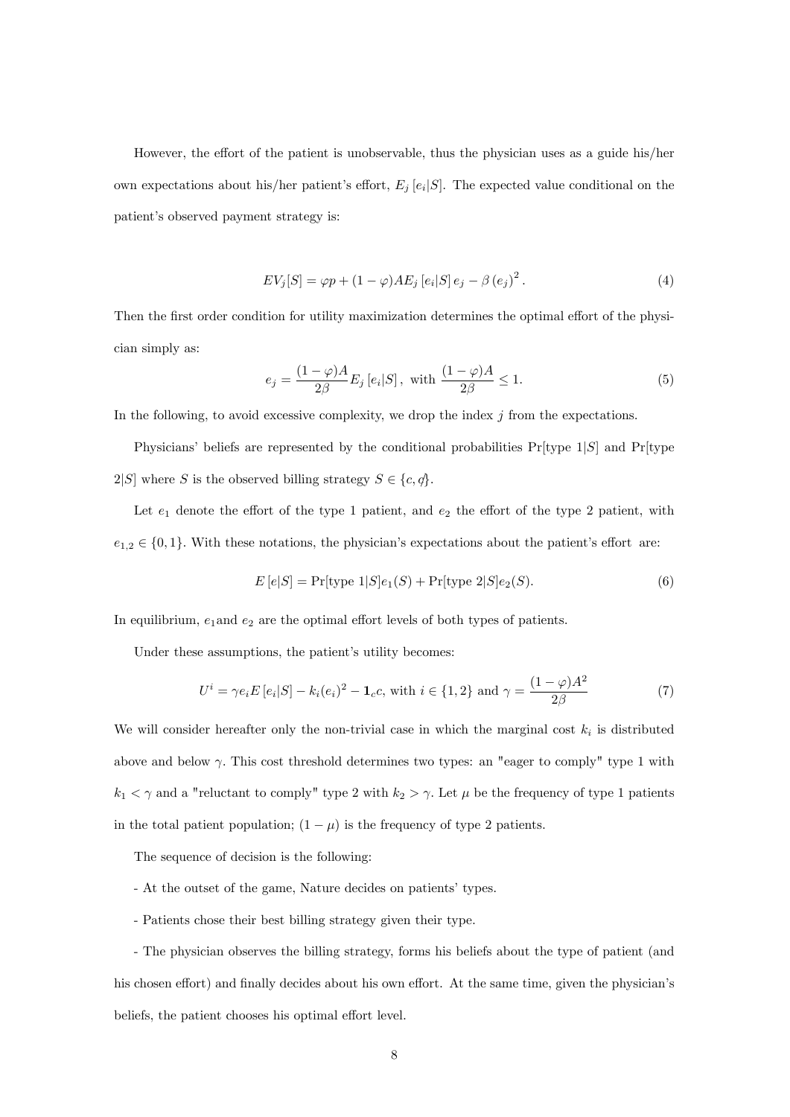However, the effort of the patient is unobservable, thus the physician uses as a guide his/her own expectations about his/her patient's effort,  $E_j$  [ $e_i$ |S]. The expected value conditional on the patient's observed payment strategy is:

$$
EV_{j}[S] = \varphi p + (1 - \varphi)AE_{j}[e_{i}|S]e_{j} - \beta (e_{j})^{2}.
$$
 (4)

Then the first order condition for utility maximization determines the optimal effort of the physician simply as:

$$
e_j = \frac{(1 - \varphi)A}{2\beta} E_j \left[ e_i | S \right], \text{ with } \frac{(1 - \varphi)A}{2\beta} \le 1. \tag{5}
$$

In the following, to avoid excessive complexity, we drop the index  $j$  from the expectations.

Physicians' beliefs are represented by the conditional probabilities  $Pr[\text{type 1}|S]$  and  $Pr[\text{type 1}|S]$  $2|S|$  where S is the observed billing strategy  $S \in \{c, \phi\}.$ 

Let  $e_1$  denote the effort of the type 1 patient, and  $e_2$  the effort of the type 2 patient, with  $e_{1,2} \in \{0,1\}$ . With these notations, the physician's expectations about the patient's effort are:

$$
E[e|S] = \Pr[\text{type 1}|S]e_1(S) + \Pr[\text{type 2}|S]e_2(S).
$$
 (6)

In equilibrium,  $e_1$  and  $e_2$  are the optimal effort levels of both types of patients.

Under these assumptions, the patient's utility becomes:

$$
U^{i} = \gamma e_{i} E \left[ e_{i} | S \right] - k_{i} (e_{i})^{2} - \mathbf{1}_{c} c, \text{ with } i \in \{1, 2\} \text{ and } \gamma = \frac{(1 - \varphi) A^{2}}{2\beta}
$$
 (7)

We will consider hereafter only the non-trivial case in which the marginal cost  $k_i$  is distributed above and below  $\gamma$ . This cost threshold determines two types: an "eager to comply" type 1 with  $k_1 < \gamma$  and a "reluctant to comply" type 2 with  $k_2 > \gamma$ . Let  $\mu$  be the frequency of type 1 patients in the total patient population;  $(1 - \mu)$  is the frequency of type 2 patients.

The sequence of decision is the following:

- At the outset of the game, Nature decides on patients' types.
- Patients chose their best billing strategy given their type.

- The physician observes the billing strategy, forms his beliefs about the type of patient (and his chosen effort) and finally decides about his own effort. At the same time, given the physician's beliefs, the patient chooses his optimal effort level.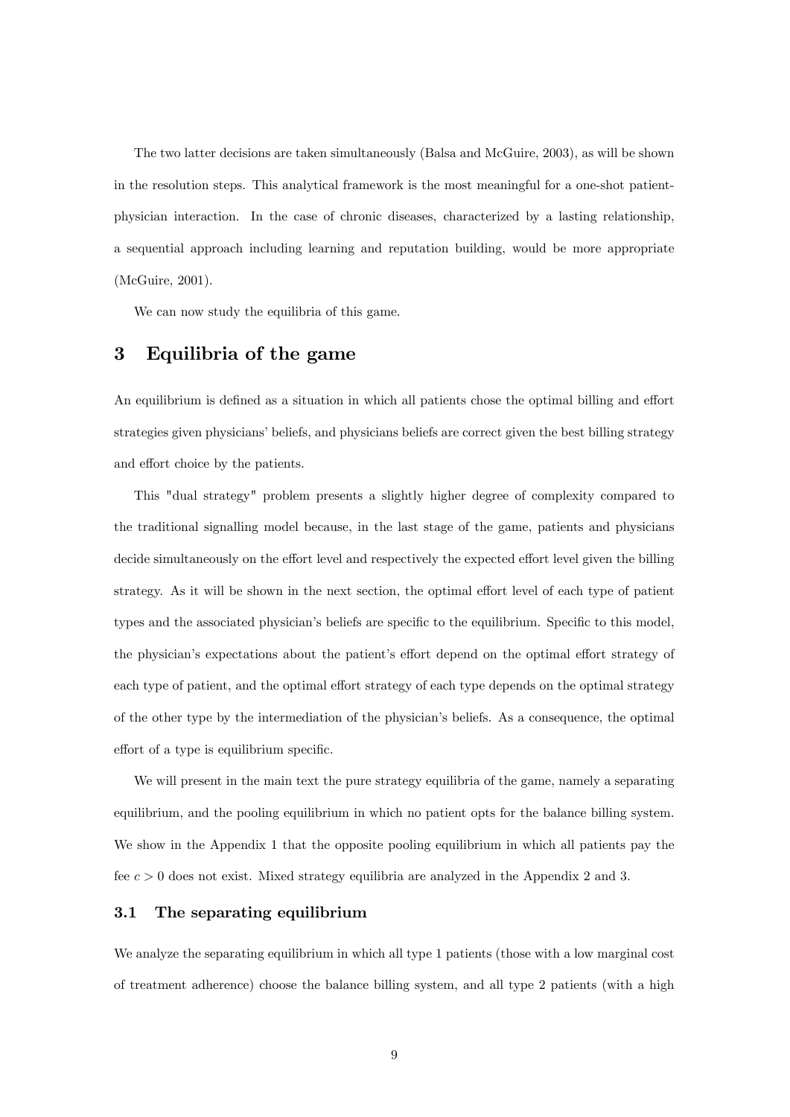The two latter decisions are taken simultaneously (Balsa and McGuire, 2003), as will be shown in the resolution steps. This analytical framework is the most meaningful for a one-shot patientphysician interaction. In the case of chronic diseases, characterized by a lasting relationship, a sequential approach including learning and reputation building, would be more appropriate (McGuire, 2001).

We can now study the equilibria of this game.

### 3 Equilibria of the game

An equilibrium is defined as a situation in which all patients chose the optimal billing and effort strategies given physicians' beliefs, and physicians beliefs are correct given the best billing strategy and effort choice by the patients.

This "dual strategy" problem presents a slightly higher degree of complexity compared to the traditional signalling model because, in the last stage of the game, patients and physicians decide simultaneously on the effort level and respectively the expected effort level given the billing strategy. As it will be shown in the next section, the optimal effort level of each type of patient types and the associated physician's beliefs are specific to the equilibrium. Specific to this model, the physician's expectations about the patient's effort depend on the optimal effort strategy of each type of patient, and the optimal effort strategy of each type depends on the optimal strategy of the other type by the intermediation of the physicianís beliefs. As a consequence, the optimal effort of a type is equilibrium specific.

We will present in the main text the pure strategy equilibria of the game, namely a separating equilibrium, and the pooling equilibrium in which no patient opts for the balance billing system. We show in the Appendix 1 that the opposite pooling equilibrium in which all patients pay the fee  $c > 0$  does not exist. Mixed strategy equilibria are analyzed in the Appendix 2 and 3.

#### 3.1 The separating equilibrium

We analyze the separating equilibrium in which all type 1 patients (those with a low marginal cost of treatment adherence) choose the balance billing system, and all type 2 patients (with a high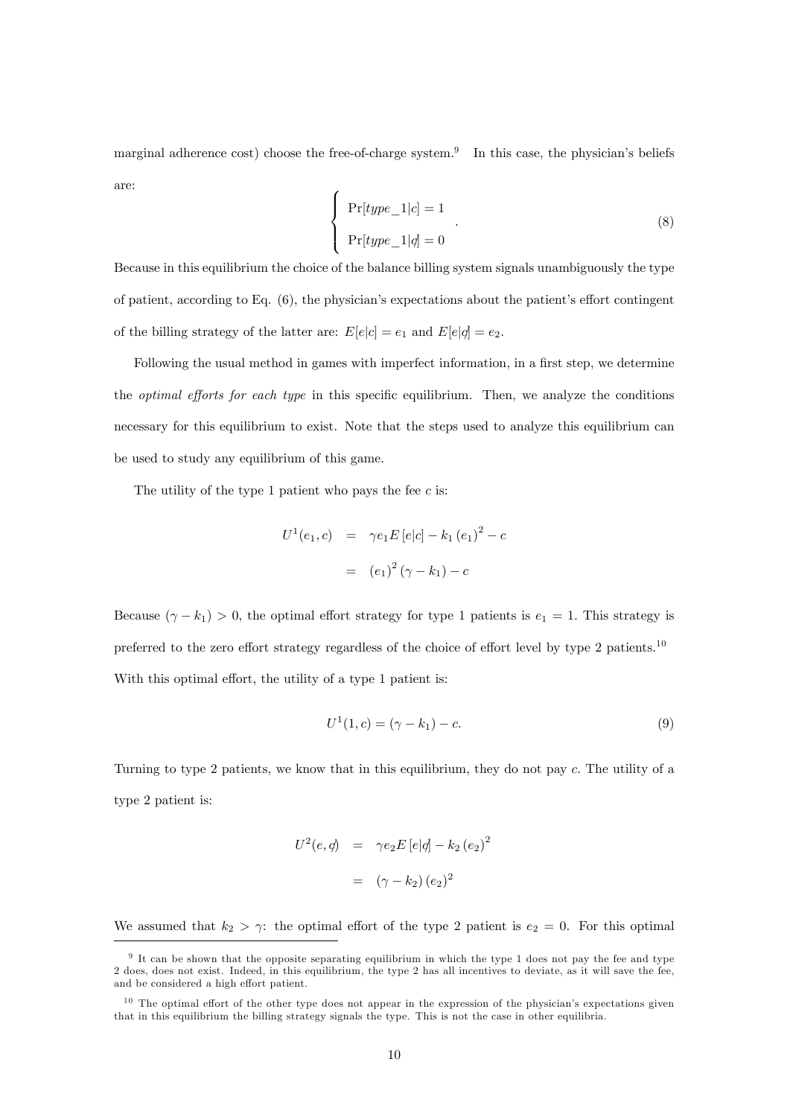marginal adherence cost) choose the free-of-charge system.<sup>9</sup> In this case, the physician's beliefs are: 8

$$
\begin{cases}\n\Pr[type_1|c] = 1 \\
\Pr[type_1|q] = 0\n\end{cases}.
$$
\n(8)

Because in this equilibrium the choice of the balance billing system signals unambiguously the type of patient, according to Eq.  $(6)$ , the physician's expectations about the patient's effort contingent of the billing strategy of the latter are:  $E[e|c] = e_1$  and  $E[e|c] = e_2$ .

Following the usual method in games with imperfect information, in a first step, we determine the *optimal efforts for each type* in this specific equilibrium. Then, we analyze the conditions necessary for this equilibrium to exist. Note that the steps used to analyze this equilibrium can be used to study any equilibrium of this game.

The utility of the type 1 patient who pays the fee  $c$  is:

$$
U^{1}(e_{1}, c) = \gamma e_{1} E [e|c] - k_{1} (e_{1})^{2} - c
$$

$$
= (e_{1})^{2} (\gamma - k_{1}) - c
$$

Because  $(\gamma - k_1) > 0$ , the optimal effort strategy for type 1 patients is  $e_1 = 1$ . This strategy is preferred to the zero effort strategy regardless of the choice of effort level by type 2 patients.<sup>10</sup> With this optimal effort, the utility of a type 1 patient is:

$$
U^{1}(1, c) = (\gamma - k_{1}) - c.
$$
\n(9)

Turning to type 2 patients, we know that in this equilibrium, they do not pay  $c$ . The utility of a type 2 patient is:

$$
U^{2}(e, q) = \gamma e_{2} E [e|q] - k_{2} (e_{2})^{2}
$$

$$
= (\gamma - k_{2}) (e_{2})^{2}
$$

We assumed that  $k_2 > \gamma$ : the optimal effort of the type 2 patient is  $e_2 = 0$ . For this optimal

<sup>&</sup>lt;sup>9</sup> It can be shown that the opposite separating equilibrium in which the type 1 does not pay the fee and type 2 does, does not exist. Indeed, in this equilibrium, the type 2 has all incentives to deviate, as it will save the fee, and be considered a high effort patient.

 $10$  The optimal effort of the other type does not appear in the expression of the physician's expectations given that in this equilibrium the billing strategy signals the type. This is not the case in other equilibria.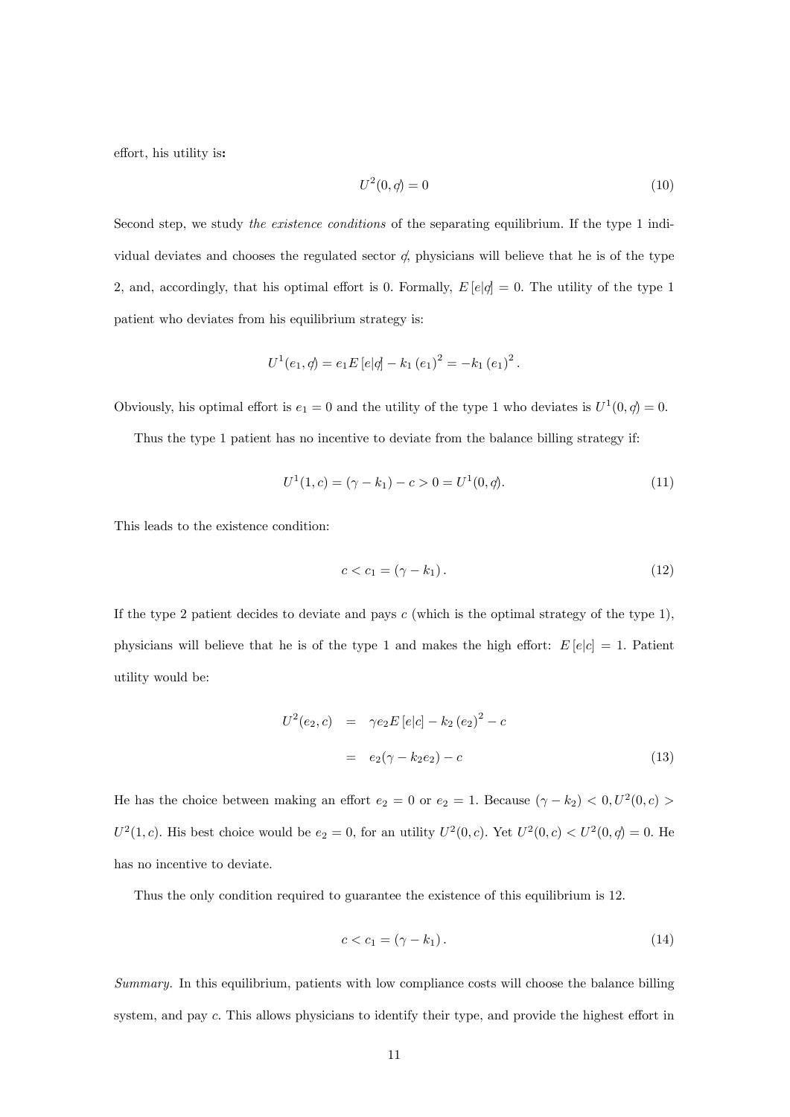effort, his utility is:

$$
U^2(0, q) = 0\tag{10}
$$

Second step, we study the existence conditions of the separating equilibrium. If the type 1 individual deviates and chooses the regulated sector  $q'$ , physicians will believe that he is of the type 2, and, accordingly, that his optimal effort is 0. Formally,  $E[e|q] = 0$ . The utility of the type 1 patient who deviates from his equilibrium strategy is:

$$
U^{1}(e_1, q) = e_1 E [e|q] - k_1 (e_1)^{2} = -k_1 (e_1)^{2}.
$$

Obviously, his optimal effort is  $e_1 = 0$  and the utility of the type 1 who deviates is  $U^1(0, \phi) = 0$ .

Thus the type 1 patient has no incentive to deviate from the balance billing strategy if:

$$
U^{1}(1, c) = (\gamma - k_{1}) - c > 0 = U^{1}(0, q). \qquad (11)
$$

This leads to the existence condition:

$$
c < c_1 = (\gamma - k_1). \tag{12}
$$

If the type 2 patient decides to deviate and pays  $c$  (which is the optimal strategy of the type 1), physicians will believe that he is of the type 1 and makes the high effort:  $E[e|c] = 1$ . Patient utility would be:

$$
U^{2}(e_{2}, c) = \gamma e_{2} E [e|c] - k_{2} (e_{2})^{2} - c
$$
  
=  $e_{2}(\gamma - k_{2}e_{2}) - c$  (13)

He has the choice between making an effort  $e_2 = 0$  or  $e_2 = 1$ . Because  $(\gamma - k_2) < 0, U^2(0, c) >$  $U^2(1, c)$ . His best choice would be  $e_2 = 0$ , for an utility  $U^2(0, c)$ . Yet  $U^2(0, c) < U^2(0, d) = 0$ . He has no incentive to deviate.

Thus the only condition required to guarantee the existence of this equilibrium is 12.

$$
c < c_1 = (\gamma - k_1). \tag{14}
$$

Summary. In this equilibrium, patients with low compliance costs will choose the balance billing system, and pay  $c$ . This allows physicians to identify their type, and provide the highest effort in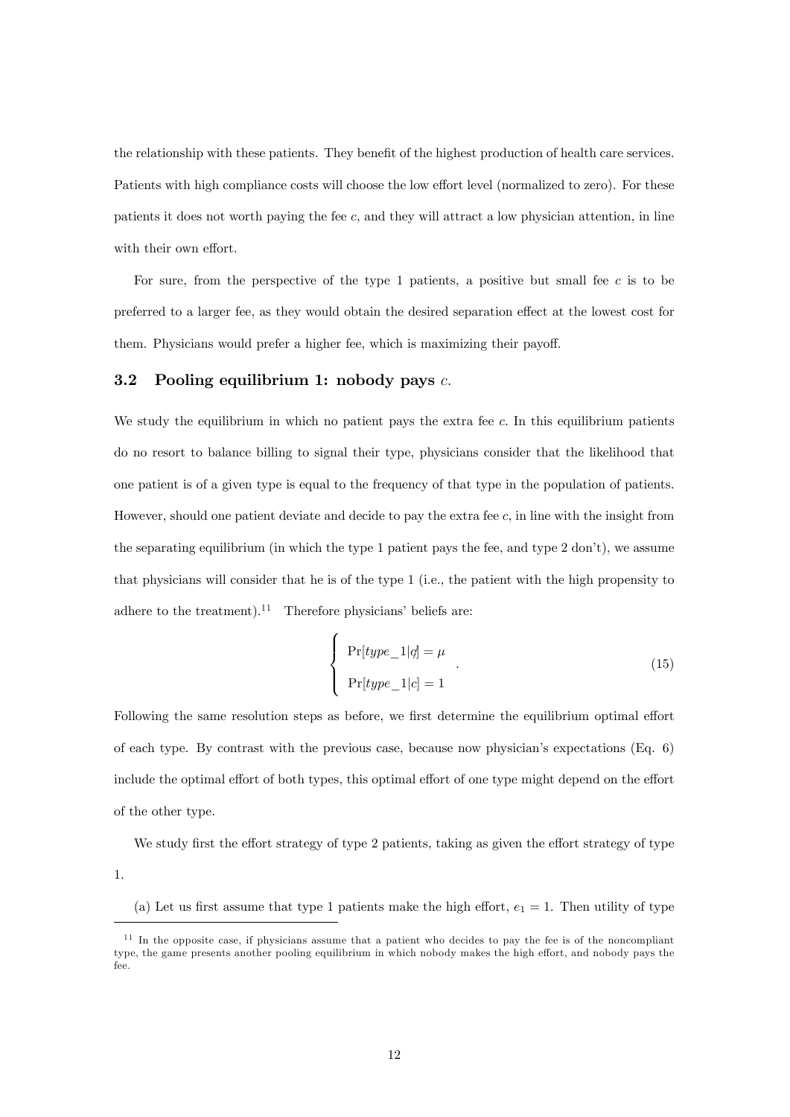the relationship with these patients. They benefit of the highest production of health care services. Patients with high compliance costs will choose the low effort level (normalized to zero). For these patients it does not worth paying the fee c, and they will attract a low physician attention, in line with their own effort.

For sure, from the perspective of the type 1 patients, a positive but small fee  $c$  is to be preferred to a larger fee, as they would obtain the desired separation effect at the lowest cost for them. Physicians would prefer a higher fee, which is maximizing their payoff.

### 3.2 Pooling equilibrium 1: nobody pays  $c$ .

We study the equilibrium in which no patient pays the extra fee  $c$ . In this equilibrium patients do no resort to balance billing to signal their type, physicians consider that the likelihood that one patient is of a given type is equal to the frequency of that type in the population of patients. However, should one patient deviate and decide to pay the extra fee  $c$ , in line with the insight from the separating equilibrium (in which the type 1 patient pays the fee, and type  $2 \text{ don't}$ ), we assume that physicians will consider that he is of the type 1 (i.e., the patient with the high propensity to adhere to the treatment).<sup>11</sup> Therefore physicians' beliefs are:

$$
\begin{cases}\n\Pr[type_1|q] = \mu \\
\Pr[type_1|c] = 1\n\end{cases} \tag{15}
$$

Following the same resolution steps as before, we first determine the equilibrium optimal effort of each type. By contrast with the previous case, because now physician's expectations (Eq.  $6$ ) include the optimal effort of both types, this optimal effort of one type might depend on the effort of the other type.

We study first the effort strategy of type 2 patients, taking as given the effort strategy of type 1.

(a) Let us first assume that type 1 patients make the high effort,  $e_1 = 1$ . Then utility of type

<sup>&</sup>lt;sup>11</sup> In the opposite case, if physicians assume that a patient who decides to pay the fee is of the noncompliant type, the game presents another pooling equilibrium in which nobody makes the high effort, and nobody pays the fee.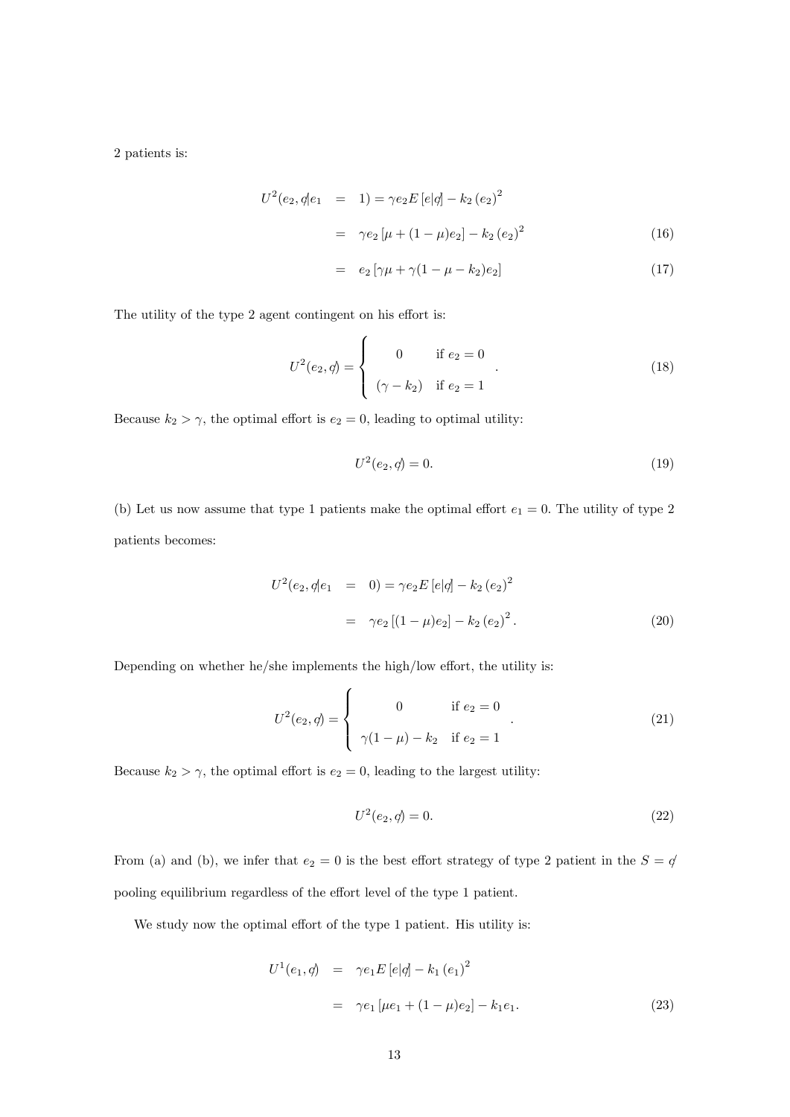2 patients is:

$$
U^{2}(e_{2}, q|e_{1} = 1) = \gamma e_{2} E [e|q] - k_{2} (e_{2})^{2}
$$

$$
= \gamma e_{2} [\mu + (1 - \mu)e_{2}] - k_{2} (e_{2})^{2}
$$
(16)

$$
= e_2 [\gamma \mu + \gamma (1 - \mu - k_2) e_2]
$$
 (17)

The utility of the type 2 agent contingent on his effort is:

$$
U^{2}(e_2, q) = \begin{cases} 0 & \text{if } e_2 = 0 \\ (\gamma - k_2) & \text{if } e_2 = 1 \end{cases}
$$
 (18)

Because  $k_2 > \gamma$ , the optimal effort is  $e_2 = 0$ , leading to optimal utility:

$$
U^2(e_2, q) = 0.\t\t(19)
$$

(b) Let us now assume that type 1 patients make the optimal effort  $e_1 = 0$ . The utility of type 2 patients becomes:

$$
U^{2}(e_{2}, q|e_{1} = 0) = \gamma e_{2} E [e|q] - k_{2} (e_{2})^{2}
$$

$$
= \gamma e_{2} [(1 - \mu)e_{2}] - k_{2} (e_{2})^{2}. \qquad (20)
$$

Depending on whether he/she implements the high/low effort, the utility is:

$$
U^{2}(e_2, q) = \begin{cases} 0 & \text{if } e_2 = 0 \\ \gamma(1 - \mu) - k_2 & \text{if } e_2 = 1 \end{cases}
$$
 (21)

Because  $k_2 > \gamma$ , the optimal effort is  $e_2 = 0$ , leading to the largest utility:

$$
U^2(e_2, q) = 0.
$$
\n(22)

From (a) and (b), we infer that  $e_2 = 0$  is the best effort strategy of type 2 patient in the  $S = \phi$ pooling equilibrium regardless of the effort level of the type 1 patient.

We study now the optimal effort of the type 1 patient. His utility is:

$$
U^{1}(e_{1}, q) = \gamma e_{1} E [e|q] - k_{1} (e_{1})^{2}
$$
  
=  $\gamma e_{1} [\mu e_{1} + (1 - \mu)e_{2}] - k_{1} e_{1}.$  (23)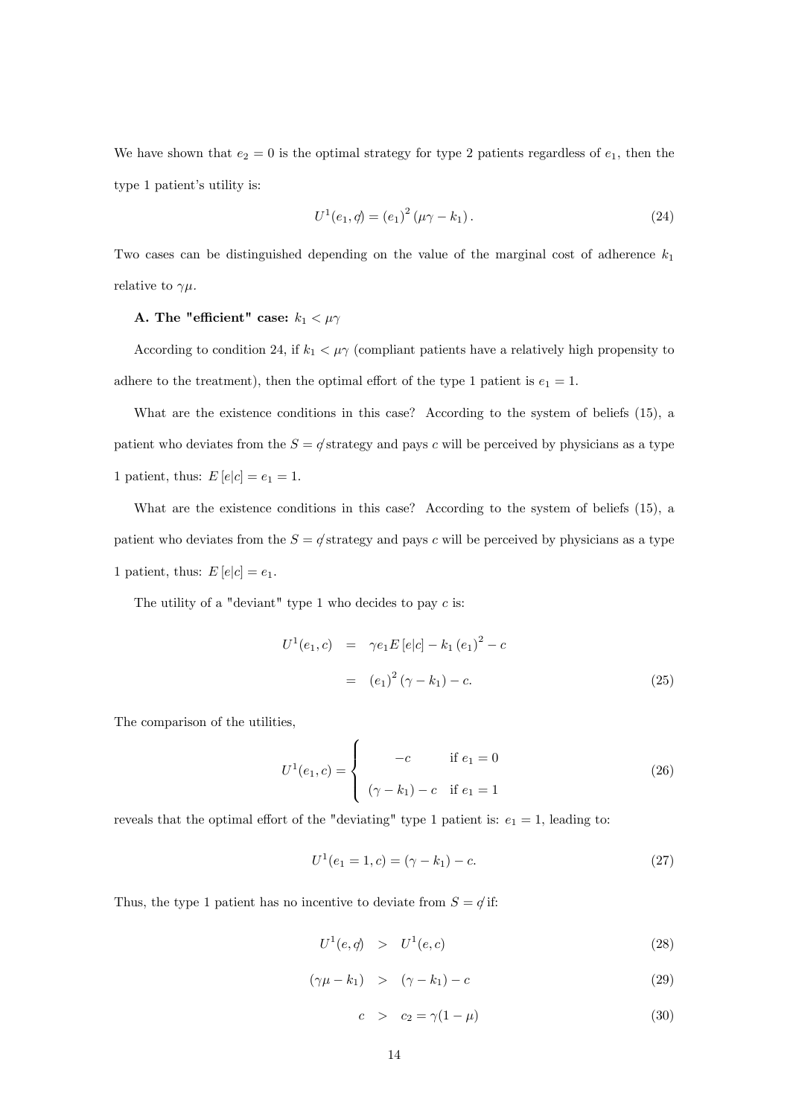We have shown that  $e_2 = 0$  is the optimal strategy for type 2 patients regardless of  $e_1$ , then the type 1 patient's utility is:

$$
U^{1}(e_1, q) = (e_1)^{2} (\mu \gamma - k_1).
$$
 (24)

Two cases can be distinguished depending on the value of the marginal cost of adherence  $k_1$ relative to  $\gamma \mu$ .

#### A. The "efficient" case:  $k_1 < \mu \gamma$

According to condition 24, if  $k_1 < \mu \gamma$  (compliant patients have a relatively high propensity to adhere to the treatment), then the optimal effort of the type 1 patient is  $e_1 = 1$ .

What are the existence conditions in this case? According to the system of beliefs (15), a patient who deviates from the  $S = \sqrt{g}$  strategy and pays c will be perceived by physicians as a type 1 patient, thus:  $E[e|c] = e_1 = 1$ .

What are the existence conditions in this case? According to the system of beliefs (15), a patient who deviates from the  $S = \sqrt{g}$  strategy and pays c will be perceived by physicians as a type 1 patient, thus:  $E[e|c] = e_1$ .

The utility of a "deviant" type 1 who decides to pay  $c$  is:

$$
U^{1}(e_{1}, c) = \gamma e_{1} E[e|c] - k_{1} (e_{1})^{2} - c
$$

$$
= (e_{1})^{2} (\gamma - k_{1}) - c.
$$
 (25)

The comparison of the utilities,

$$
U^{1}(e_1, c) = \begin{cases} -c & \text{if } e_1 = 0\\ (\gamma - k_1) - c & \text{if } e_1 = 1 \end{cases}
$$
 (26)

reveals that the optimal effort of the "deviating" type 1 patient is:  $e_1 = 1$ , leading to:

$$
U^{1}(e_{1} = 1, c) = (\gamma - k_{1}) - c.
$$
\n(27)

Thus, the type 1 patient has no incentive to deviate from  $S = \phi$  if:

$$
U^1(e,q) \quad > \quad U^1(e,c) \tag{28}
$$

$$
(\gamma \mu - k_1) > (\gamma - k_1) - c \tag{29}
$$

$$
c > c_2 = \gamma (1 - \mu) \tag{30}
$$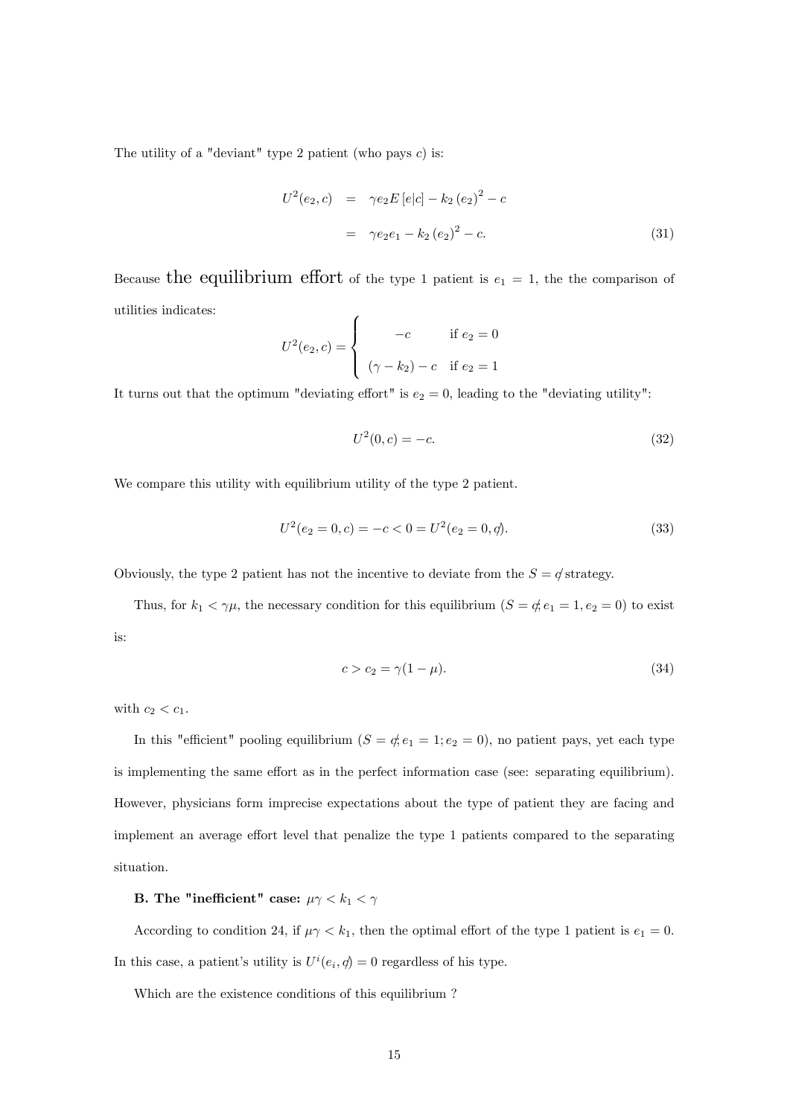The utility of a "deviant" type 2 patient (who pays  $c$ ) is:

$$
U^{2}(e_{2}, c) = \gamma e_{2} E [e|c] - k_{2} (e_{2})^{2} - c
$$
  

$$
= \gamma e_{2} e_{1} - k_{2} (e_{2})^{2} - c.
$$
 (31)

Because the equilibrium effort of the type 1 patient is  $e_1 = 1$ , the the comparison of utilities indicates:

$$
U^{2}(e_2, c) = \begin{cases} -c & \text{if } e_2 = 0\\ (\gamma - k_2) - c & \text{if } e_2 = 1 \end{cases}
$$

It turns out that the optimum "deviating effort" is  $e_2 = 0$ , leading to the "deviating utility":

$$
U^2(0, c) = -c.\t\t(32)
$$

We compare this utility with equilibrium utility of the type 2 patient.

$$
U^2(e_2 = 0, c) = -c < 0 = U^2(e_2 = 0, d). \tag{33}
$$

Obviously, the type 2 patient has not the incentive to deviate from the  $S = \sqrt{q}$  strategy.

Thus, for  $k_1 < \gamma \mu$ , the necessary condition for this equilibrium  $(S = \phi, e_1 = 1, e_2 = 0)$  to exist is:

$$
c > c_2 = \gamma (1 - \mu). \tag{34}
$$

with  $c_2 < c_1$ .

In this "efficient" pooling equilibrium  $(S = \phi, e_1 = 1; e_2 = 0)$ , no patient pays, yet each type is implementing the same effort as in the perfect information case (see: separating equilibrium). However, physicians form imprecise expectations about the type of patient they are facing and implement an average effort level that penalize the type 1 patients compared to the separating situation.

### B. The "inefficient" case:  $\mu \gamma < k_1 < \gamma$

According to condition 24, if  $\mu \gamma < k_1$ , then the optimal effort of the type 1 patient is  $e_1 = 0$ . In this case, a patient's utility is  $U^{i}(e_i, q) = 0$  regardless of his type.

Which are the existence conditions of this equilibrium ?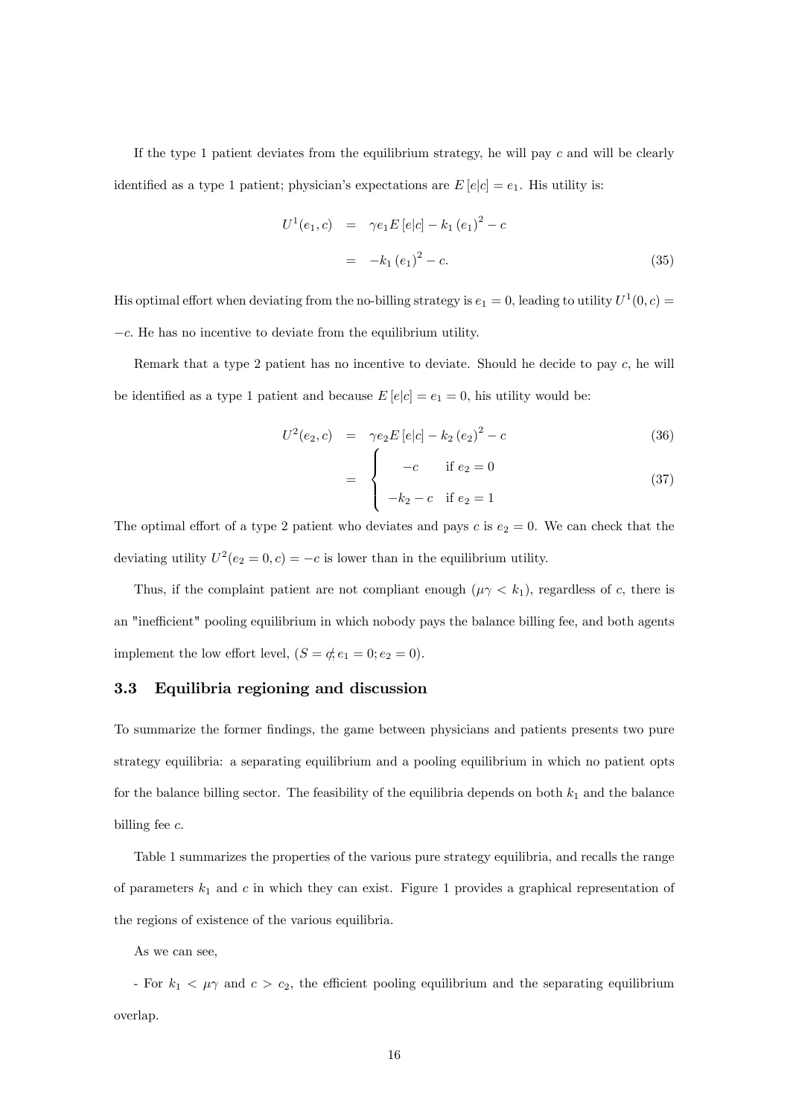If the type 1 patient deviates from the equilibrium strategy, he will pay  $c$  and will be clearly identified as a type 1 patient; physician's expectations are  $E[e|c] = e_1$ . His utility is:

$$
U^{1}(e_{1}, c) = \gamma e_{1} E[e|c] - k_{1} (e_{1})^{2} - c
$$

$$
= -k_{1} (e_{1})^{2} - c.
$$
(35)

His optimal effort when deviating from the no-billing strategy is  $e_1 = 0$ , leading to utility  $U^1(0, c) =$  $-c$ . He has no incentive to deviate from the equilibrium utility.

Remark that a type 2 patient has no incentive to deviate. Should he decide to pay  $c$ , he will be identified as a type 1 patient and because  $E[e|c] = e_1 = 0$ , his utility would be:

$$
U^{2}(e_{2}, c) = \gamma e_{2} E[e|c] - k_{2} (e_{2})^{2} - c \qquad (36)
$$

$$
= \begin{cases}\n-c & \text{if } e_2 = 0 \\
-k_2 - c & \text{if } e_2 = 1\n\end{cases}
$$
\n(37)

The optimal effort of a type 2 patient who deviates and pays c is  $e_2 = 0$ . We can check that the deviating utility  $U^2(e_2 = 0, c) = -c$  is lower than in the equilibrium utility.

Thus, if the complaint patient are not compliant enough  $(\mu \gamma < k_1)$ , regardless of c, there is an "inefficient" pooling equilibrium in which nobody pays the balance billing fee, and both agents implement the low effort level,  $(S = \underset{}{\notin} e_1 = 0; e_2 = 0)$ .

### 3.3 Equilibria regioning and discussion

To summarize the former Öndings, the game between physicians and patients presents two pure strategy equilibria: a separating equilibrium and a pooling equilibrium in which no patient opts for the balance billing sector. The feasibility of the equilibria depends on both  $k_1$  and the balance billing fee  $c$ .

Table 1 summarizes the properties of the various pure strategy equilibria, and recalls the range of parameters  $k_1$  and c in which they can exist. Figure 1 provides a graphical representation of the regions of existence of the various equilibria.

As we can see,

- For  $k_1 < \mu \gamma$  and  $c > c_2$ , the efficient pooling equilibrium and the separating equilibrium overlap.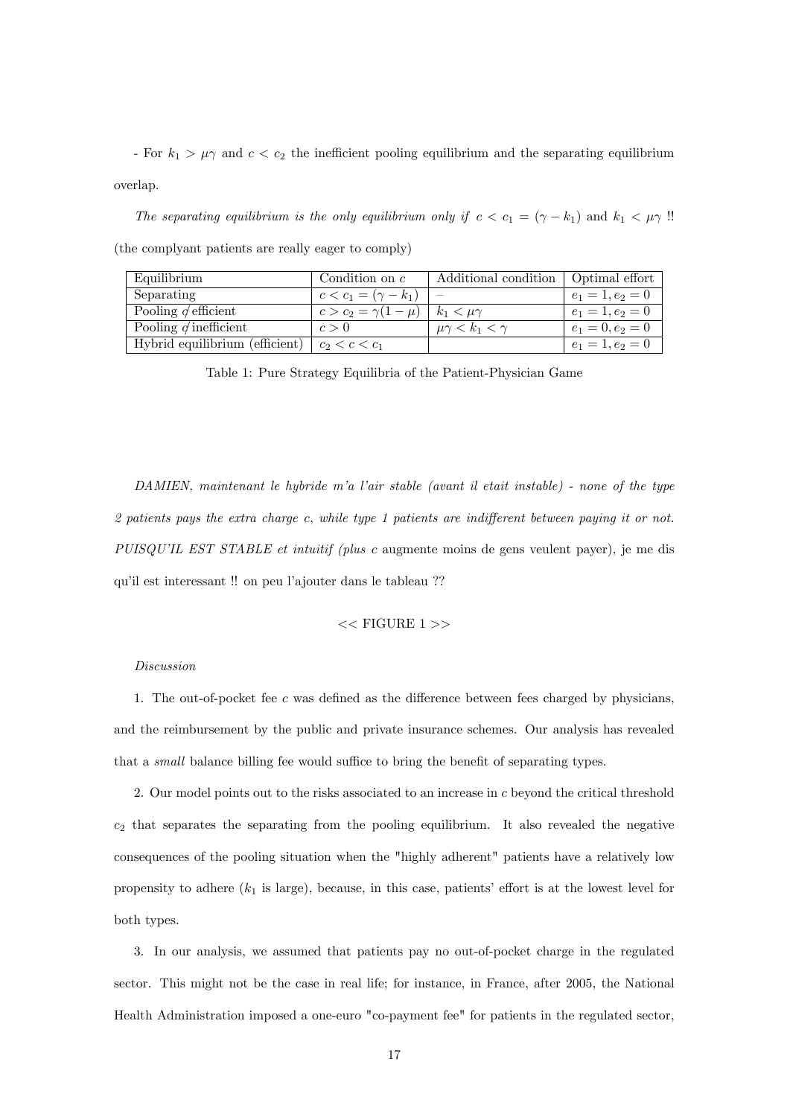- For  $k_1 > \mu \gamma$  and  $c < c_2$  the inefficient pooling equilibrium and the separating equilibrium overlap.

The separating equilibrium is the only equilibrium only if  $c < c_1 = (\gamma - k_1)$  and  $k_1 < \mu \gamma$ ! (the complyant patients are really eager to comply)

| Equilibrium                    | Condition on $c$                                  | Additional condition       | Optimal effort     |
|--------------------------------|---------------------------------------------------|----------------------------|--------------------|
| Separating                     | $c < c_1 = (\gamma - k_1)$                        |                            | $e_1 = 1, e_2 = 0$ |
| Pooling $\phi$ efficient       | $c > c_2 = \gamma(1 - \mu) \mid k_1 < \mu \gamma$ |                            | $e_1 = 1, e_2 = 0$ |
| Pooling $\phi$ inefficient     | c > 0                                             | $\mu\gamma < k_1 < \gamma$ | $e_1 = 0, e_2 = 0$ |
| Hybrid equilibrium (efficient) | $c_2 < c < c_1$                                   |                            | $e_1 = 1, e_2 = 0$ |

Table 1: Pure Strategy Equilibria of the Patient-Physician Game

DAMIEN, maintenant le hybride m'a l'air stable (avant il etait instable) - none of the type 2 patients pays the extra charge c, while type 1 patients are indifferent between paying it or not. PUISQUíIL EST STABLE et intuitif (plus c augmente moins de gens veulent payer), je me dis qu'il est interessant !! on peu l'ajouter dans le tableau ??

#### $<<$  FIGURE 1  $>>$

#### Discussion

1. The out-of-pocket fee  $c$  was defined as the difference between fees charged by physicians, and the reimbursement by the public and private insurance schemes. Our analysis has revealed that a *small* balance billing fee would suffice to bring the benefit of separating types.

2. Our model points out to the risks associated to an increase in c beyond the critical threshold  $c_2$  that separates the separating from the pooling equilibrium. It also revealed the negative consequences of the pooling situation when the "highly adherent" patients have a relatively low propensity to adhere  $(k_1$  is large), because, in this case, patients' effort is at the lowest level for both types.

3. In our analysis, we assumed that patients pay no out-of-pocket charge in the regulated sector. This might not be the case in real life; for instance, in France, after 2005, the National Health Administration imposed a one-euro "co-payment fee" for patients in the regulated sector,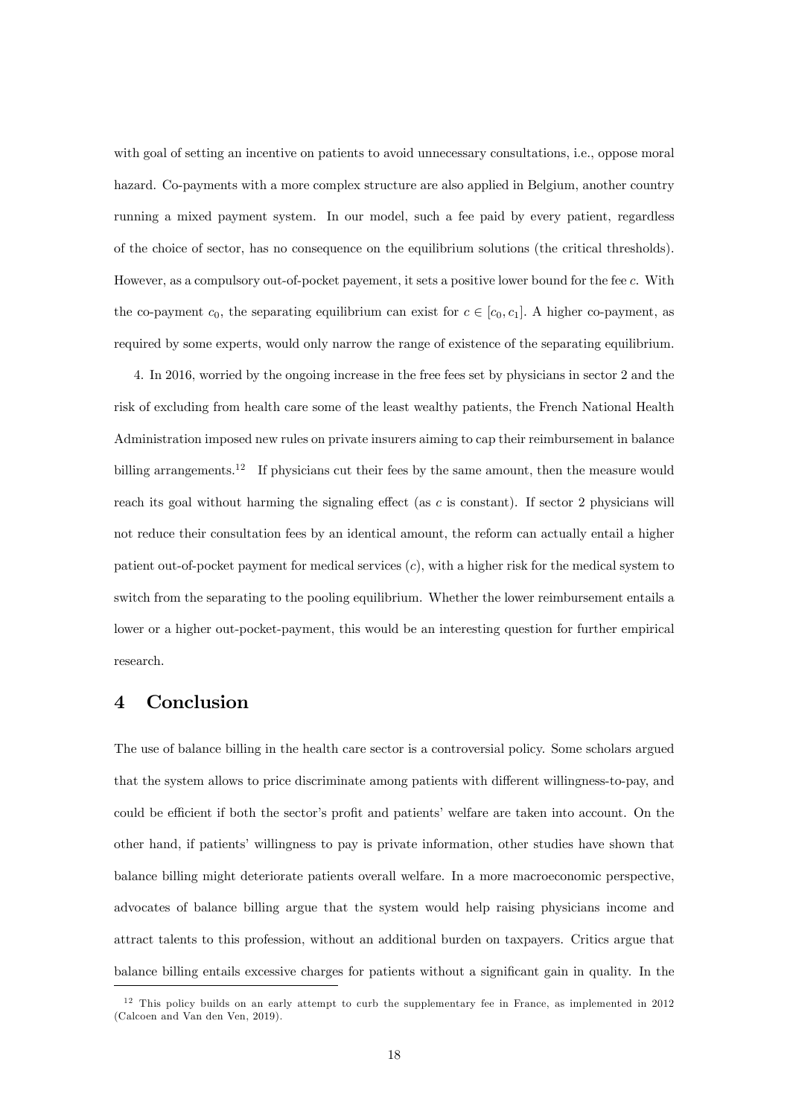with goal of setting an incentive on patients to avoid unnecessary consultations, i.e., oppose moral hazard. Co-payments with a more complex structure are also applied in Belgium, another country running a mixed payment system. In our model, such a fee paid by every patient, regardless of the choice of sector, has no consequence on the equilibrium solutions (the critical thresholds). However, as a compulsory out-of-pocket payement, it sets a positive lower bound for the fee c. With the co-payment  $c_0$ , the separating equilibrium can exist for  $c \in [c_0, c_1]$ . A higher co-payment, as required by some experts, would only narrow the range of existence of the separating equilibrium.

4. In 2016, worried by the ongoing increase in the free fees set by physicians in sector 2 and the risk of excluding from health care some of the least wealthy patients, the French National Health Administration imposed new rules on private insurers aiming to cap their reimbursement in balance billing arrangements.<sup>12</sup> If physicians cut their fees by the same amount, then the measure would reach its goal without harming the signaling effect (as c is constant). If sector 2 physicians will not reduce their consultation fees by an identical amount, the reform can actually entail a higher patient out-of-pocket payment for medical services  $(c)$ , with a higher risk for the medical system to switch from the separating to the pooling equilibrium. Whether the lower reimbursement entails a lower or a higher out-pocket-payment, this would be an interesting question for further empirical research.

## 4 Conclusion

The use of balance billing in the health care sector is a controversial policy. Some scholars argued that the system allows to price discriminate among patients with different willingness-to-pay, and could be efficient if both the sector's profit and patients' welfare are taken into account. On the other hand, if patients' willingness to pay is private information, other studies have shown that balance billing might deteriorate patients overall welfare. In a more macroeconomic perspective, advocates of balance billing argue that the system would help raising physicians income and attract talents to this profession, without an additional burden on taxpayers. Critics argue that balance billing entails excessive charges for patients without a significant gain in quality. In the

 $12$  This policy builds on an early attempt to curb the supplementary fee in France, as implemented in 2012 (Calcoen and Van den Ven, 2019).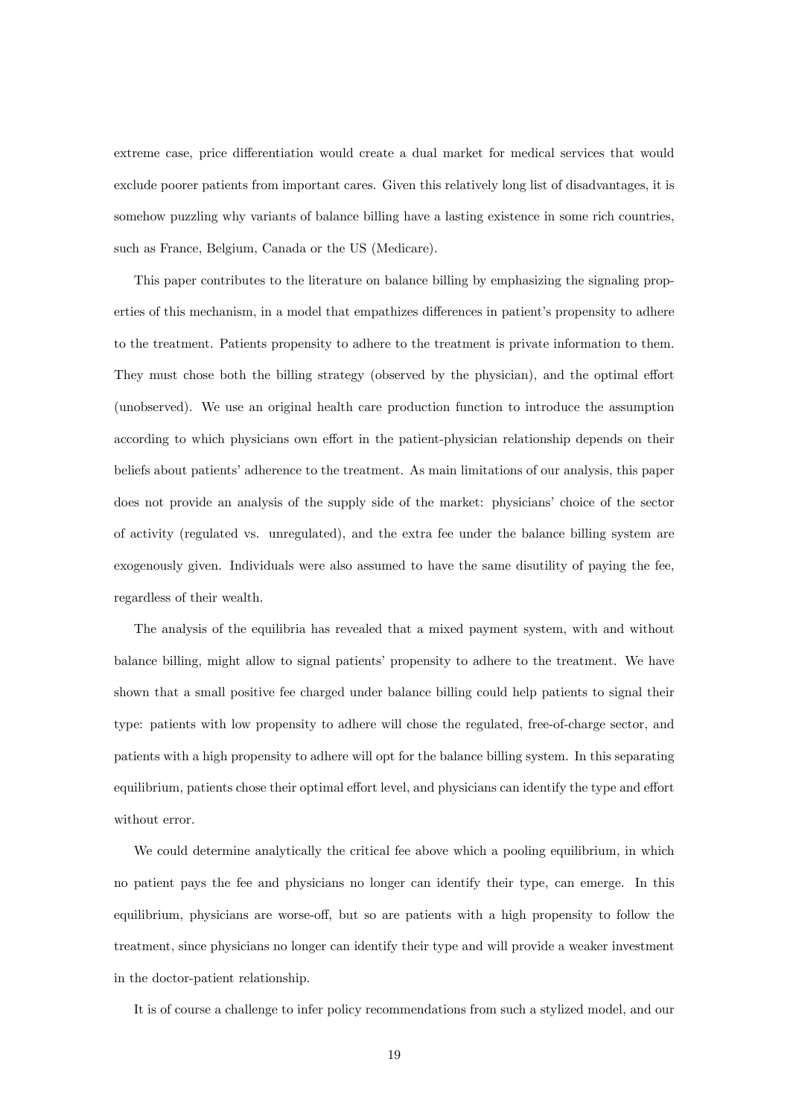extreme case, price differentiation would create a dual market for medical services that would exclude poorer patients from important cares. Given this relatively long list of disadvantages, it is somehow puzzling why variants of balance billing have a lasting existence in some rich countries, such as France, Belgium, Canada or the US (Medicare).

This paper contributes to the literature on balance billing by emphasizing the signaling properties of this mechanism, in a model that empathizes differences in patient's propensity to adhere to the treatment. Patients propensity to adhere to the treatment is private information to them. They must chose both the billing strategy (observed by the physician), and the optimal effort (unobserved). We use an original health care production function to introduce the assumption according to which physicians own effort in the patient-physician relationship depends on their beliefs about patients' adherence to the treatment. As main limitations of our analysis, this paper does not provide an analysis of the supply side of the market: physicians' choice of the sector of activity (regulated vs. unregulated), and the extra fee under the balance billing system are exogenously given. Individuals were also assumed to have the same disutility of paying the fee, regardless of their wealth.

The analysis of the equilibria has revealed that a mixed payment system, with and without balance billing, might allow to signal patients' propensity to adhere to the treatment. We have shown that a small positive fee charged under balance billing could help patients to signal their type: patients with low propensity to adhere will chose the regulated, free-of-charge sector, and patients with a high propensity to adhere will opt for the balance billing system. In this separating equilibrium, patients chose their optimal effort level, and physicians can identify the type and effort without error.

We could determine analytically the critical fee above which a pooling equilibrium, in which no patient pays the fee and physicians no longer can identify their type, can emerge. In this equilibrium, physicians are worse-off, but so are patients with a high propensity to follow the treatment, since physicians no longer can identify their type and will provide a weaker investment in the doctor-patient relationship.

It is of course a challenge to infer policy recommendations from such a stylized model, and our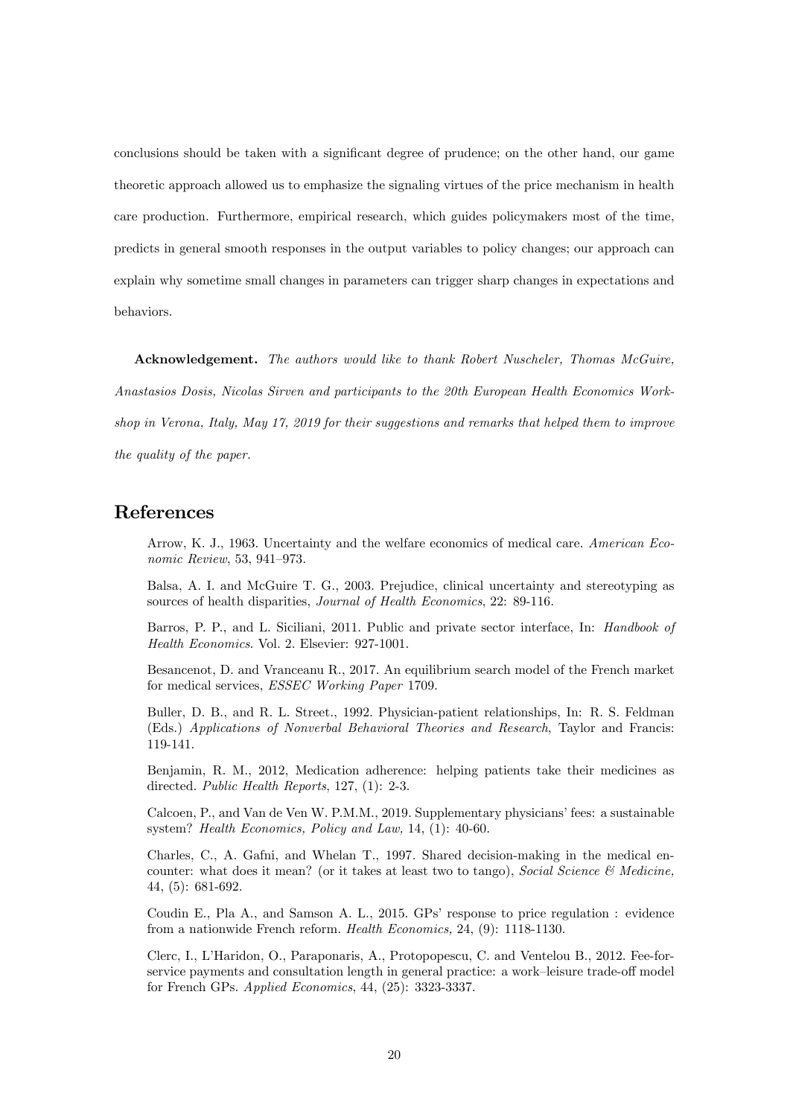conclusions should be taken with a significant degree of prudence; on the other hand, our game theoretic approach allowed us to emphasize the signaling virtues of the price mechanism in health care production. Furthermore, empirical research, which guides policymakers most of the time, predicts in general smooth responses in the output variables to policy changes; our approach can explain why sometime small changes in parameters can trigger sharp changes in expectations and behaviors.

Acknowledgement. The authors would like to thank Robert Nuscheler, Thomas McGuire,

Anastasios Dosis, Nicolas Sirven and participants to the 20th European Health Economics Work-

shop in Verona, Italy, May 17, 2019 for their suggestions and remarks that helped them to improve the quality of the paper.

### References

Arrow, K. J., 1963. Uncertainty and the welfare economics of medical care. American Economic Review, 53, 941-973.

Balsa, A. I. and McGuire T. G., 2003. Prejudice, clinical uncertainty and stereotyping as sources of health disparities, Journal of Health Economics, 22: 89-116.

Barros, P. P., and L. Siciliani, 2011. Public and private sector interface, In: *Handbook of* Health Economics. Vol. 2. Elsevier: 927-1001.

Besancenot, D. and Vranceanu R., 2017. An equilibrium search model of the French market for medical services, ESSEC Working Paper 1709.

Buller, D. B., and R. L. Street., 1992. Physician-patient relationships, In: R. S. Feldman (Eds.) Applications of Nonverbal Behavioral Theories and Research, Taylor and Francis: 119-141.

Benjamin, R. M., 2012, Medication adherence: helping patients take their medicines as directed. Public Health Reports, 127, (1): 2-3.

Calcoen, P., and Van de Ven W. P.M.M., 2019. Supplementary physicians' fees: a sustainable system? Health Economics, Policy and Law, 14, (1): 40-60.

Charles, C., A. Gafni, and Whelan T., 1997. Shared decision-making in the medical encounter: what does it mean? (or it takes at least two to tango), Social Science  $\mathcal{C}$  Medicine, 44, (5): 681-692.

Coudin E., Pla A., and Samson A. L., 2015. GPs' response to price regulation : evidence from a nationwide French reform. Health Economics, 24, (9): 1118-1130.

Clerc, I., LíHaridon, O., Paraponaris, A., Protopopescu, C. and Ventelou B., 2012. Fee-forservice payments and consultation length in general practice: a work-leisure trade-off model for French GPs. Applied Economics, 44, (25): 3323-3337.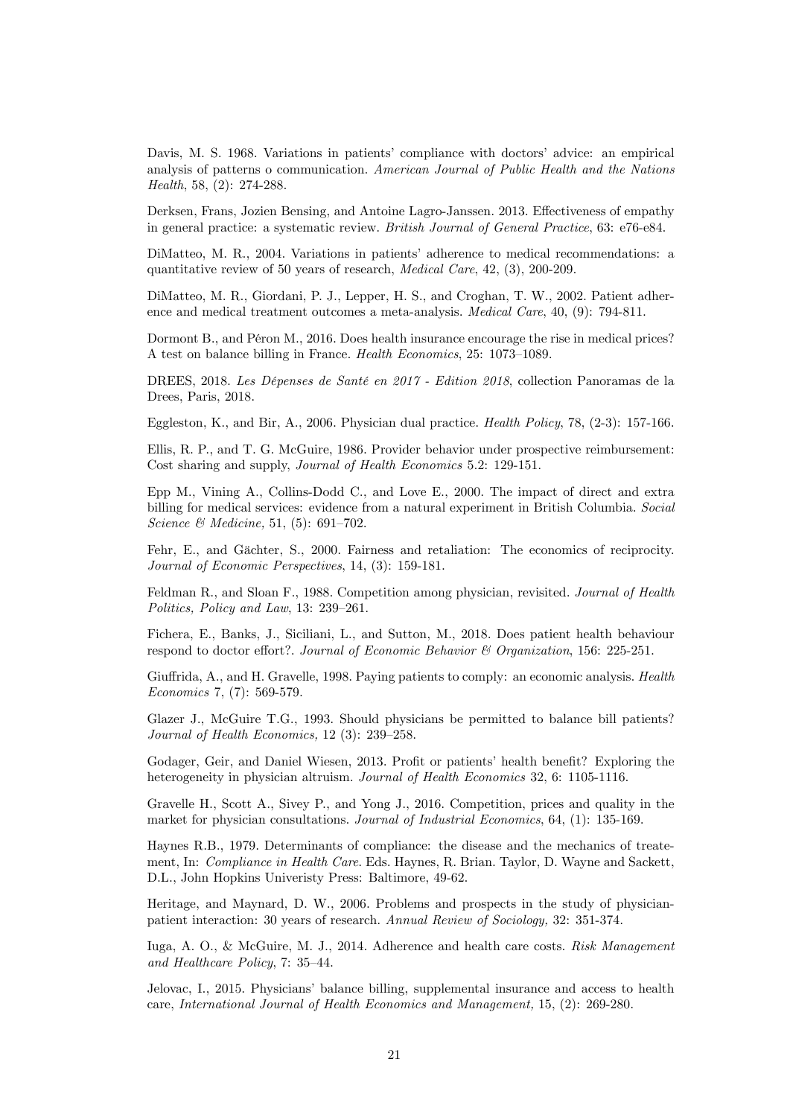Davis, M. S. 1968. Variations in patients' compliance with doctors' advice: an empirical analysis of patterns o communication. American Journal of Public Health and the Nations Health, 58, (2): 274-288.

Derksen, Frans, Jozien Bensing, and Antoine Lagro-Janssen. 2013. Effectiveness of empathy in general practice: a systematic review. British Journal of General Practice, 63: e76-e84.

DiMatteo, M. R., 2004. Variations in patients' adherence to medical recommendations: a quantitative review of 50 years of research, Medical Care, 42, (3), 200-209.

DiMatteo, M. R., Giordani, P. J., Lepper, H. S., and Croghan, T. W., 2002. Patient adherence and medical treatment outcomes a meta-analysis. Medical Care, 40, (9): 794-811.

Dormont B., and Péron M., 2016. Does health insurance encourage the rise in medical prices? A test on balance billing in France. Health Economics, 25: 1073-1089.

DREES, 2018. Les Dépenses de Santé en 2017 - Edition 2018, collection Panoramas de la Drees, Paris, 2018.

Eggleston, K., and Bir, A., 2006. Physician dual practice. Health Policy, 78, (2-3): 157-166.

Ellis, R. P., and T. G. McGuire, 1986. Provider behavior under prospective reimbursement: Cost sharing and supply, Journal of Health Economics 5.2: 129-151.

Epp M., Vining A., Collins-Dodd C., and Love E., 2000. The impact of direct and extra billing for medical services: evidence from a natural experiment in British Columbia. Social Science & Medicine, 51, (5): 691-702.

Fehr, E., and Gächter, S., 2000. Fairness and retaliation: The economics of reciprocity. Journal of Economic Perspectives, 14, (3): 159-181.

Feldman R., and Sloan F., 1988. Competition among physician, revisited. Journal of Health Politics, Policy and Law, 13: 239–261.

Fichera, E., Banks, J., Siciliani, L., and Sutton, M., 2018. Does patient health behaviour respond to doctor effort?. Journal of Economic Behavior & Organization, 156: 225-251.

Giuffrida, A., and H. Gravelle, 1998. Paying patients to comply: an economic analysis. Health Economics 7, (7): 569-579.

Glazer J., McGuire T.G., 1993. Should physicians be permitted to balance bill patients? Journal of Health Economics,  $12$  (3):  $239-258$ .

Godager, Geir, and Daniel Wiesen, 2013. Profit or patients' health benefit? Exploring the heterogeneity in physician altruism. Journal of Health Economics 32, 6: 1105-1116.

Gravelle H., Scott A., Sivey P., and Yong J., 2016. Competition, prices and quality in the market for physician consultations. Journal of Industrial Economics, 64, (1): 135-169.

Haynes R.B., 1979. Determinants of compliance: the disease and the mechanics of treatement, In: Compliance in Health Care. Eds. Haynes, R. Brian. Taylor, D. Wayne and Sackett, D.L., John Hopkins Univeristy Press: Baltimore, 49-62.

Heritage, and Maynard, D. W., 2006. Problems and prospects in the study of physicianpatient interaction: 30 years of research. Annual Review of Sociology, 32: 351-374.

Iuga, A. O., & McGuire, M. J., 2014. Adherence and health care costs. Risk Management and Healthcare Policy, 7: 35–44.

Jelovac, I., 2015. Physiciansí balance billing, supplemental insurance and access to health care, International Journal of Health Economics and Management, 15, (2): 269-280.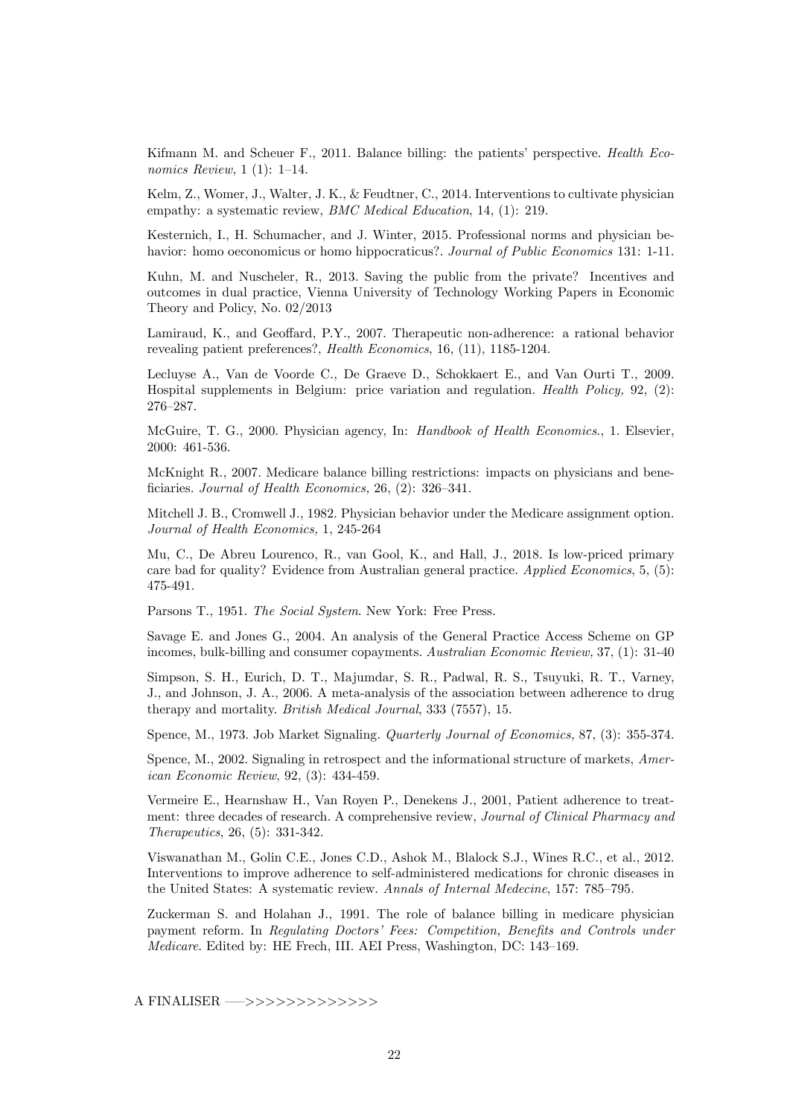Kifmann M. and Scheuer F., 2011. Balance billing: the patients' perspective. Health Economics Review,  $1(1)$ :  $1-14$ .

Kelm, Z., Womer, J., Walter, J. K., & Feudtner, C., 2014. Interventions to cultivate physician empathy: a systematic review, *BMC Medical Education*, 14, (1): 219.

Kesternich, I., H. Schumacher, and J. Winter, 2015. Professional norms and physician behavior: homo oeconomicus or homo hippocraticus?. Journal of Public Economics 131: 1-11.

Kuhn, M. and Nuscheler, R., 2013. Saving the public from the private? Incentives and outcomes in dual practice, Vienna University of Technology Working Papers in Economic Theory and Policy, No. 02/2013

Lamiraud, K., and Geoffard, P.Y., 2007. Therapeutic non-adherence: a rational behavior revealing patient preferences?, Health Economics, 16, (11), 1185-1204.

Lecluyse A., Van de Voorde C., De Graeve D., Schokkaert E., and Van Ourti T., 2009. Hospital supplements in Belgium: price variation and regulation. Health Policy, 92, (2): 276-287.

McGuire, T. G., 2000. Physician agency, In: Handbook of Health Economics., 1. Elsevier, 2000: 461-536.

McKnight R., 2007. Medicare balance billing restrictions: impacts on physicians and beneficiaries. Journal of Health Economics, 26,  $(2)$ : 326–341.

Mitchell J. B., Cromwell J., 1982. Physician behavior under the Medicare assignment option. Journal of Health Economics, 1, 245-264

Mu, C., De Abreu Lourenco, R., van Gool, K., and Hall, J., 2018. Is low-priced primary care bad for quality? Evidence from Australian general practice. Applied Economics, 5, (5): 475-491.

Parsons T., 1951. The Social System. New York: Free Press.

Savage E. and Jones G., 2004. An analysis of the General Practice Access Scheme on GP incomes, bulk-billing and consumer copayments. Australian Economic Review, 37, (1): 31-40

Simpson, S. H., Eurich, D. T., Majumdar, S. R., Padwal, R. S., Tsuyuki, R. T., Varney, J., and Johnson, J. A., 2006. A meta-analysis of the association between adherence to drug therapy and mortality. British Medical Journal, 333 (7557), 15.

Spence, M., 1973. Job Market Signaling. Quarterly Journal of Economics, 87, (3): 355-374.

Spence, M., 2002. Signaling in retrospect and the informational structure of markets, American Economic Review, 92, (3): 434-459.

Vermeire E., Hearnshaw H., Van Royen P., Denekens J., 2001, Patient adherence to treatment: three decades of research. A comprehensive review, Journal of Clinical Pharmacy and Therapeutics, 26, (5): 331-342.

Viswanathan M., Golin C.E., Jones C.D., Ashok M., Blalock S.J., Wines R.C., et al., 2012. Interventions to improve adherence to self-administered medications for chronic diseases in the United States: A systematic review. Annals of Internal Medecine, 157: 785–795.

Zuckerman S. and Holahan J., 1991. The role of balance billing in medicare physician payment reform. In Regulating Doctors' Fees: Competition, Benefits and Controls under Medicare. Edited by: HE Frech, III. AEI Press, Washington, DC: 143-169.

A FINALISER -->>>>>>>>>>>>>>>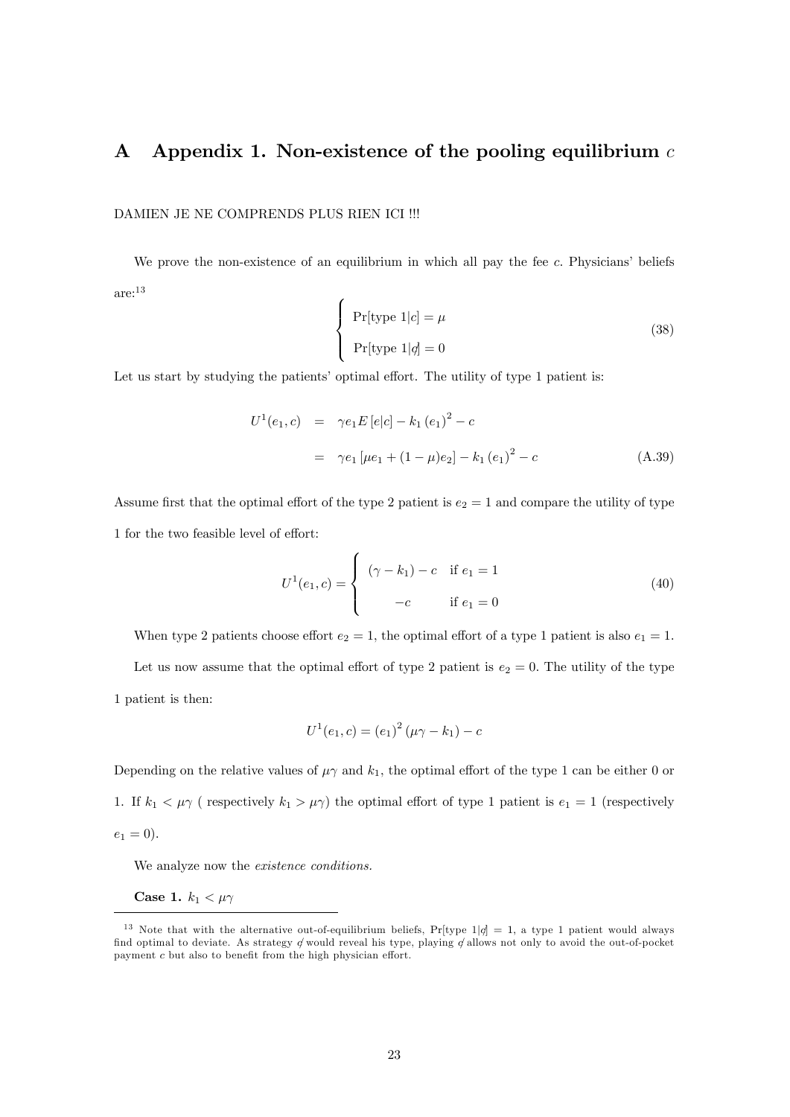## A Appendix 1. Non-existence of the pooling equilibrium  $c$

### DAMIEN JE NE COMPRENDS PLUS RIEN ICI !!!

We prove the non-existence of an equilibrium in which all pay the fee  $c$ . Physicians' beliefs are:<sup>13</sup>  $\overline{a}$ 

$$
\begin{cases}\n\Pr[\text{type 1}|c] = \mu \\
\Pr[\text{type 1}|d] = 0\n\end{cases}
$$
\n(38)

Let us start by studying the patients' optimal effort. The utility of type 1 patient is:

$$
U^{1}(e_{1}, c) = \gamma e_{1} E[e|c] - k_{1} (e_{1})^{2} - c
$$
  

$$
= \gamma e_{1} [\mu e_{1} + (1 - \mu)e_{2}] - k_{1} (e_{1})^{2} - c
$$
(A.39)

Assume first that the optimal effort of the type 2 patient is  $e_2 = 1$  and compare the utility of type  $1$  for the two feasible level of effort:  $\,$ 

$$
U^{1}(e_1, c) = \begin{cases} (\gamma - k_1) - c & \text{if } e_1 = 1 \\ -c & \text{if } e_1 = 0 \end{cases}
$$
 (40)

When type 2 patients choose effort  $e_2 = 1$ , the optimal effort of a type 1 patient is also  $e_1 = 1$ .

Let us now assume that the optimal effort of type 2 patient is  $e_2 = 0$ . The utility of the type 1 patient is then:

$$
U^{1}(e_{1}, c) = (e_{1})^{2} (\mu \gamma - k_{1}) - c
$$

Depending on the relative values of  $\mu\gamma$  and  $k_1$ , the optimal effort of the type 1 can be either 0 or 1. If  $k_1 < \mu \gamma$  (respectively  $k_1 > \mu \gamma$ ) the optimal effort of type 1 patient is  $e_1 = 1$  (respectively  $e_1 = 0$ ).

We analyze now the *existence conditions*.

Case 1.  $k_1 < \mu \gamma$ 

<sup>&</sup>lt;sup>13</sup> Note that with the alternative out-of-equilibrium beliefs, Pr[type 1|q] = 1, a type 1 patient would always find optimal to deviate. As strategy  $\phi$  would reveal his type, playing  $\phi$  allows not only to avoid the out-of-pocket payment  $c$  but also to benefit from the high physician effort.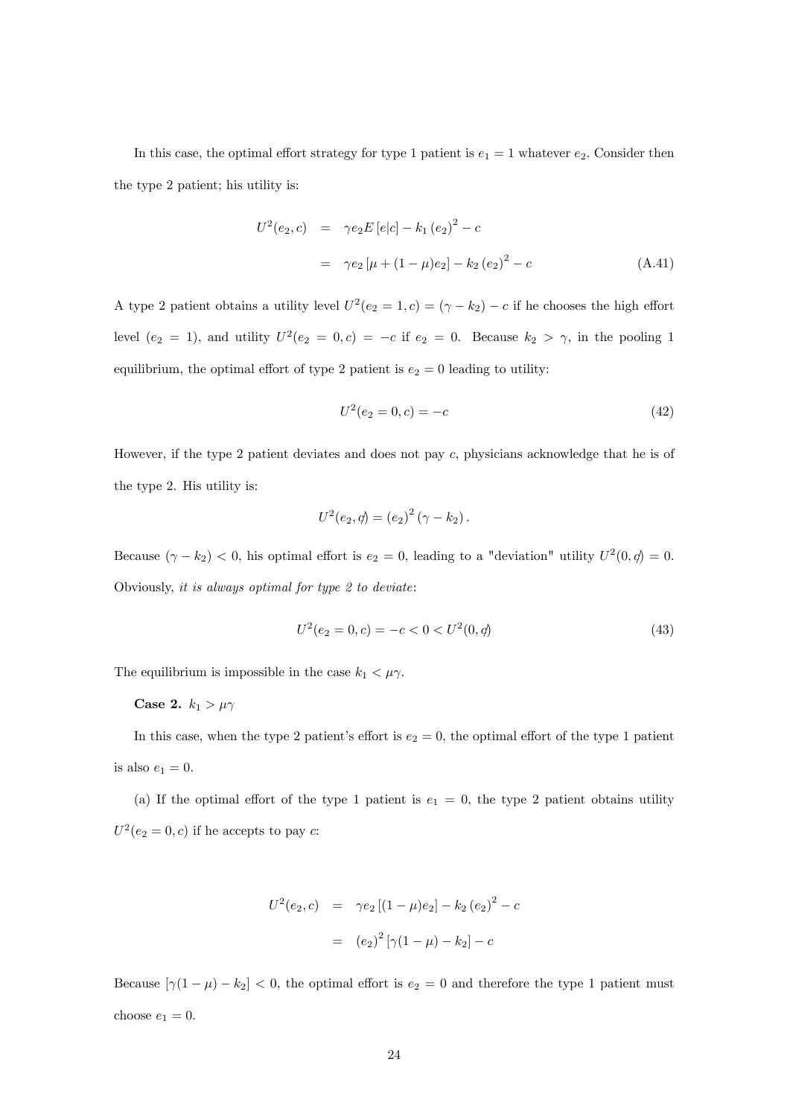In this case, the optimal effort strategy for type 1 patient is  $e_1 = 1$  whatever  $e_2$ . Consider then the type 2 patient; his utility is:

$$
U^{2}(e_{2}, c) = \gamma e_{2} E[e|c] - k_{1} (e_{2})^{2} - c
$$
  

$$
= \gamma e_{2} [\mu + (1 - \mu)e_{2}] - k_{2} (e_{2})^{2} - c
$$
(A.41)

A type 2 patient obtains a utility level  $U^2(e_2 = 1, c) = (\gamma - k_2) - c$  if he chooses the high effort level  $(e_2 = 1)$ , and utility  $U^2(e_2 = 0, c) = -c$  if  $e_2 = 0$ . Because  $k_2 > \gamma$ , in the pooling 1 equilibrium, the optimal effort of type 2 patient is  $e_2 = 0$  leading to utility:

$$
U^2(e_2 = 0, c) = -c \tag{42}
$$

However, if the type 2 patient deviates and does not pay c; physicians acknowledge that he is of the type 2. His utility is:

$$
U^{2}(e_{2},\phi) = (e_{2})^{2}(\gamma - k_{2}).
$$

Because  $(\gamma - k_2) < 0$ , his optimal effort is  $e_2 = 0$ , leading to a "deviation" utility  $U^2(0, \phi) = 0$ . Obviously, it is always optimal for type 2 to deviate:

$$
U^2(e_2 = 0, c) = -c < 0 < U^2(0, q) \tag{43}
$$

The equilibrium is impossible in the case  $k_1 < \mu \gamma$ .

Case 2. 
$$
k_1 > \mu \gamma
$$

In this case, when the type 2 patient's effort is  $e_2 = 0$ , the optimal effort of the type 1 patient is also  $e_1 = 0$ .

(a) If the optimal effort of the type 1 patient is  $e_1 = 0$ , the type 2 patient obtains utility  $U^2(e_2 = 0, c)$  if he accepts to pay c:

$$
U^{2}(e_{2}, c) = \gamma e_{2} [(1 - \mu)e_{2}] - k_{2} (e_{2})^{2} - c
$$

$$
= (e_{2})^{2} [\gamma (1 - \mu) - k_{2}] - c
$$

Because  $[\gamma(1-\mu)-k_2]<0$ , the optimal effort is  $e_2=0$  and therefore the type 1 patient must choose  $e_1 = 0$ .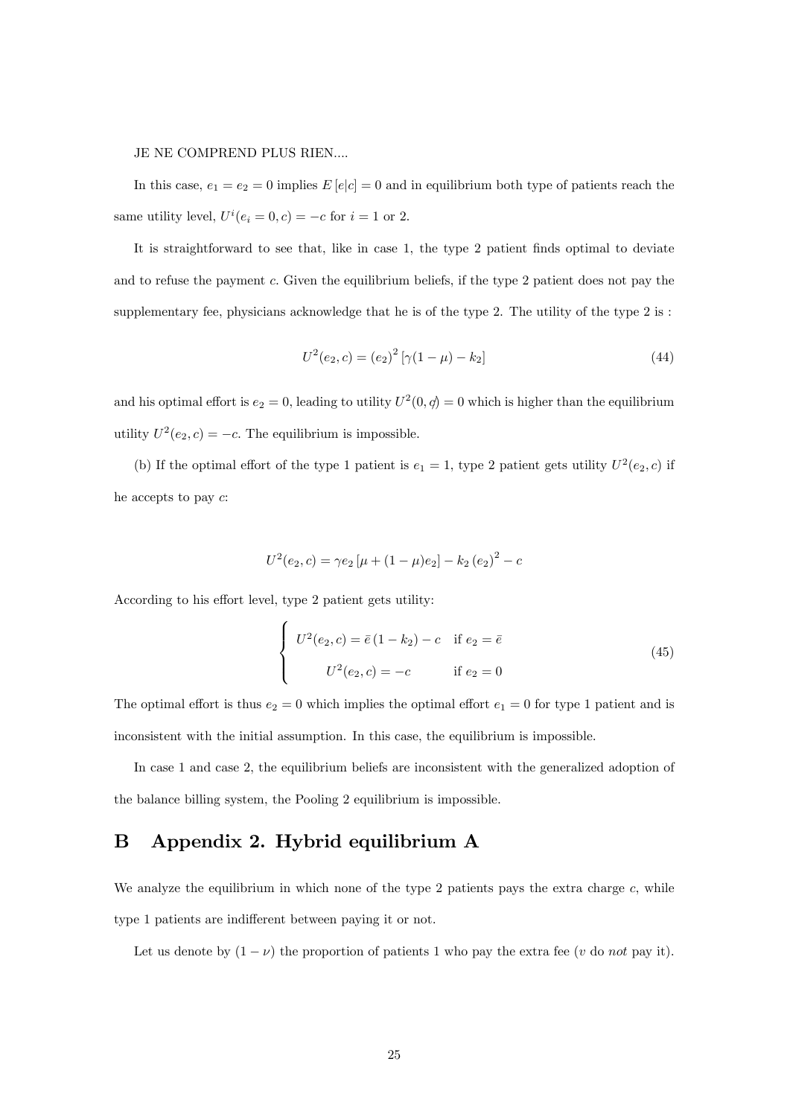#### JE NE COMPREND PLUS RIEN....

In this case,  $e_1 = e_2 = 0$  implies  $E[e|c] = 0$  and in equilibrium both type of patients reach the same utility level,  $U^{i}(e_i = 0, c) = -c$  for  $i = 1$  or 2.

It is straightforward to see that, like in case 1, the type 2 patient finds optimal to deviate and to refuse the payment  $c$ . Given the equilibrium beliefs, if the type 2 patient does not pay the supplementary fee, physicians acknowledge that he is of the type  $2$ . The utility of the type  $2$  is :

$$
U^{2}(e_2, c) = (e_2)^{2} \left[ \gamma (1 - \mu) - k_2 \right]
$$
\n(44)

and his optimal effort is  $e_2 = 0$ , leading to utility  $U^2(0, \phi) = 0$  which is higher than the equilibrium utility  $U^2(e_2, c) = -c$ . The equilibrium is impossible.

(b) If the optimal effort of the type 1 patient is  $e_1 = 1$ , type 2 patient gets utility  $U^2(e_2, c)$  if he accepts to pay c:

$$
U^{2}(e_2, c) = \gamma e_2 \left[ \mu + (1 - \mu)e_2 \right] - k_2 \left( e_2 \right)^{2} - c
$$

According to his effort level, type 2 patient gets utility:

$$
\begin{cases}\nU^2(e_2, c) = \bar{e}(1 - k_2) - c & \text{if } e_2 = \bar{e} \\
U^2(e_2, c) = -c & \text{if } e_2 = 0\n\end{cases}
$$
\n(45)

The optimal effort is thus  $e_2 = 0$  which implies the optimal effort  $e_1 = 0$  for type 1 patient and is inconsistent with the initial assumption. In this case, the equilibrium is impossible.

In case 1 and case 2, the equilibrium beliefs are inconsistent with the generalized adoption of the balance billing system, the Pooling 2 equilibrium is impossible.

### B Appendix 2. Hybrid equilibrium A

We analyze the equilibrium in which none of the type 2 patients pays the extra charge  $c$ , while type 1 patients are indifferent between paying it or not.

Let us denote by  $(1 - \nu)$  the proportion of patients 1 who pay the extra fee (v do not pay it).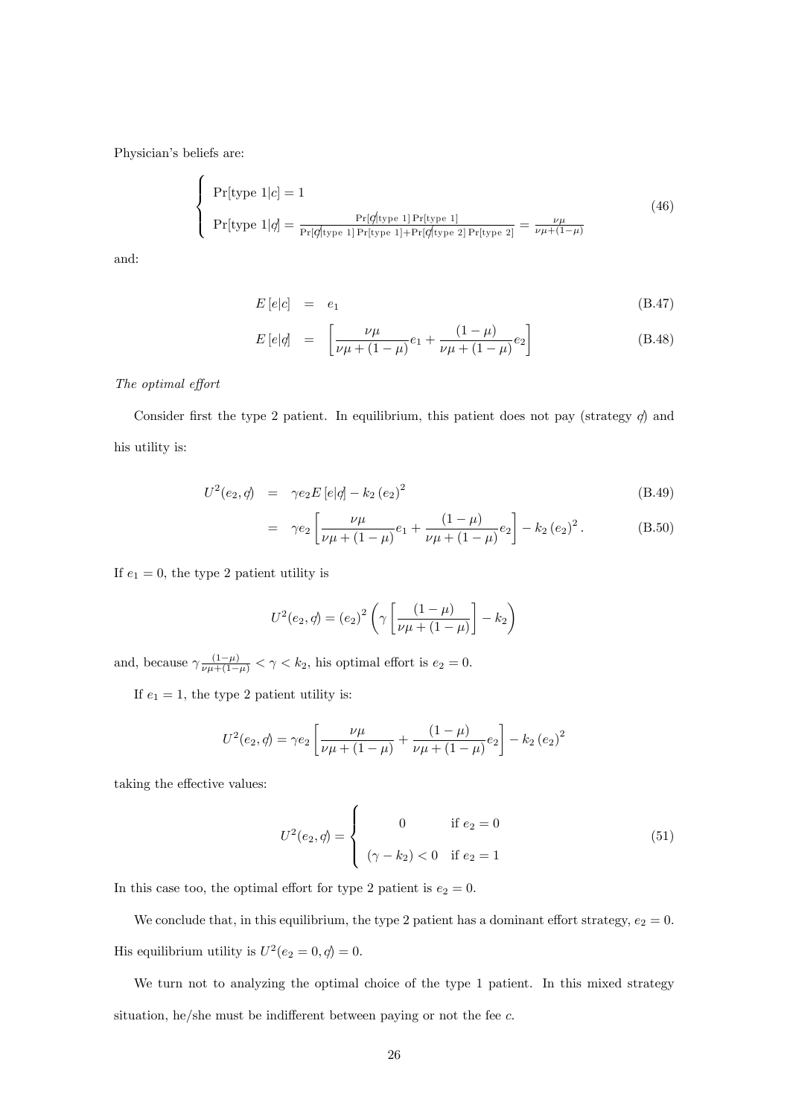Physician's beliefs are:

$$
\begin{cases}\n\Pr[\text{type 1}|c] = 1 \\
\Pr[\text{type 1}|q] = \frac{\Pr[q|\text{type 1}]\Pr[\text{type 1}]}{\Pr[q|\text{type 1}]\Pr[\text{type 1}]+\Pr[q|\text{type 2}]\Pr[\text{type 2}]} = \frac{\nu\mu}{\nu\mu + (1-\mu)}\n\end{cases}\n\tag{46}
$$

and:

$$
E[e|c] = e_1 \tag{B.47}
$$

$$
E[e|q] = \left[\frac{\nu\mu}{\nu\mu + (1-\mu)}e_1 + \frac{(1-\mu)}{\nu\mu + (1-\mu)}e_2\right]
$$
(B.48)

The optimal effort

Consider first the type 2 patient. In equilibrium, this patient does not pay (strategy  $q$ ) and his utility is:

$$
U^{2}(e_2, q) = \gamma e_2 E [e|q] - k_2 (e_2)^{2}
$$
\n(B.49)

$$
= \gamma e_2 \left[ \frac{\nu \mu}{\nu \mu + (1 - \mu)} e_1 + \frac{(1 - \mu)}{\nu \mu + (1 - \mu)} e_2 \right] - k_2 (e_2)^2.
$$
 (B.50)

If  $e_1 = 0$ , the type 2 patient utility is

$$
U^{2}(e_2, q) = (e_2)^{2} \left(\gamma \left[\frac{(1-\mu)}{\nu\mu + (1-\mu)}\right] - k_2\right)
$$

and, because  $\gamma \frac{(1-\mu)}{\nu \mu + (1-\mu)} < \gamma < k_2$ , his optimal effort is  $e_2 = 0$ .

If  $e_1 = 1$ , the type 2 patient utility is:

$$
U^{2}(e_2, q) = \gamma e_2 \left[ \frac{\nu \mu}{\nu \mu + (1 - \mu)} + \frac{(1 - \mu)}{\nu \mu + (1 - \mu)} e_2 \right] - k_2 (e_2)^2
$$

taking the effective values:

$$
U^{2}(e_2, q) = \begin{cases} 0 & \text{if } e_2 = 0\\ (\gamma - k_2) < 0 \quad \text{if } e_2 = 1 \end{cases} \tag{51}
$$

In this case too, the optimal effort for type 2 patient is  $e_2 = 0$ .

We conclude that, in this equilibrium, the type 2 patient has a dominant effort strategy,  $e_2 = 0$ . His equilibrium utility is  $U^2(e_2 = 0, \phi) = 0$ .

We turn not to analyzing the optimal choice of the type 1 patient. In this mixed strategy situation, he/she must be indifferent between paying or not the fee  $c$ .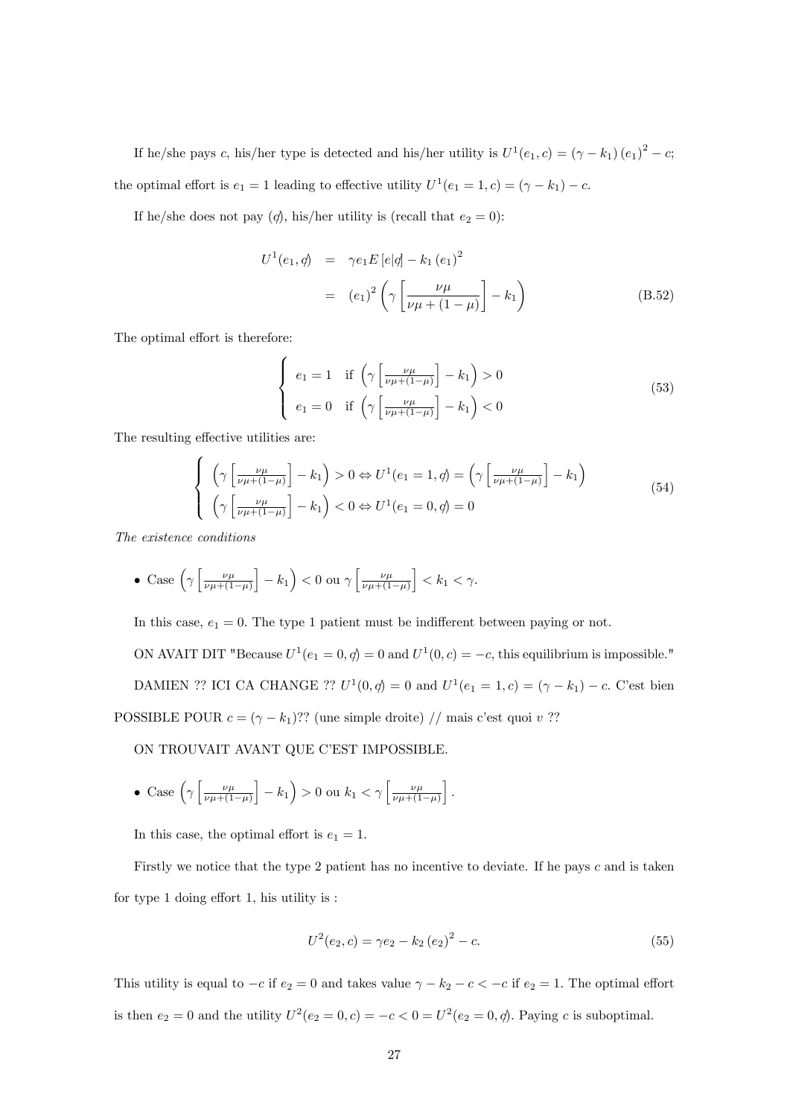If he/she pays c, his/her type is detected and his/her utility is  $U^1(e_1, c) = (\gamma - k_1)(e_1)^2 - c$ ; the optimal effort is  $e_1 = 1$  leading to effective utility  $U^1(e_1 = 1, c) = (\gamma - k_1) - c$ .

If he/she does not pay (*d*), his/her utility is (recall that  $e_2 = 0$ ):

$$
U^{1}(e_{1}, q) = \gamma e_{1} E [e|q] - k_{1} (e_{1})^{2}
$$
  
=  $(e_{1})^{2} \left( \gamma \left[ \frac{\nu \mu}{\nu \mu + (1 - \mu)} \right] - k_{1} \right)$  (B.52)

The optimal effort is therefore:

$$
\begin{cases}\ne_1 = 1 & \text{if } \left(\gamma \left[\frac{\nu \mu}{\nu \mu + (1 - \mu)}\right] - k_1\right) > 0 \\
e_1 = 0 & \text{if } \left(\gamma \left[\frac{\nu \mu}{\nu \mu + (1 - \mu)}\right] - k_1\right) < 0\n\end{cases}
$$
\n(53)

The resulting effective utilities are:

$$
\begin{cases}\n\left(\gamma \left[\frac{\nu \mu}{\nu \mu + (1 - \mu)}\right] - k_1\right) > 0 \Leftrightarrow U^1(e_1 = 1, q) = \left(\gamma \left[\frac{\nu \mu}{\nu \mu + (1 - \mu)}\right] - k_1\right) \\
\left(\gamma \left[\frac{\nu \mu}{\nu \mu + (1 - \mu)}\right] - k_1\right) < 0 \Leftrightarrow U^1(e_1 = 0, q) = 0\n\end{cases} \tag{54}
$$

The existence conditions

• Case 
$$
\left(\gamma \left[\frac{\nu \mu}{\nu \mu + (1-\mu)}\right] - k_1\right) < 0
$$
 ou  $\gamma \left[\frac{\nu \mu}{\nu \mu + (1-\mu)}\right] < k_1 < \gamma$ .

In this case,  $e_1 = 0$ . The type 1 patient must be indifferent between paying or not.

ON AVAIT DIT "Because  $U^1(e_1 = 0, q) = 0$  and  $U^1(0, c) = -c$ , this equilibrium is impossible." DAMIEN ?? ICI CA CHANGE ??  $U^1(0, q) = 0$  and  $U^1(e_1 = 1, c) = (\gamma - k_1) - c$ . C'est bien POSSIBLE POUR  $c = (\gamma - k_1)$ ?? (une simple droite) // mais c'est quoi v ??

ON TROUVAIT AVANT QUE C'EST IMPOSSIBLE.

• Case 
$$
\left(\gamma \left[\frac{\nu \mu}{\nu \mu + (1 - \mu)}\right] - k_1\right) > 0
$$
 ou  $k_1 < \gamma \left[\frac{\nu \mu}{\nu \mu + (1 - \mu)}\right]$ .

In this case, the optimal effort is  $e_1 = 1$ .

Firstly we notice that the type 2 patient has no incentive to deviate. If he pays  $c$  and is taken for type 1 doing effort 1, his utility is :

$$
U^{2}(e_2, c) = \gamma e_2 - k_2 (e_2)^{2} - c.
$$
\n(55)

This utility is equal to  $-c$  if  $e_2 = 0$  and takes value  $\gamma - k_2 - c < -c$  if  $e_2 = 1$ . The optimal effort is then  $e_2 = 0$  and the utility  $U^2(e_2 = 0, c) = -c < 0 = U^2(e_2 = 0, d)$ . Paying c is suboptimal.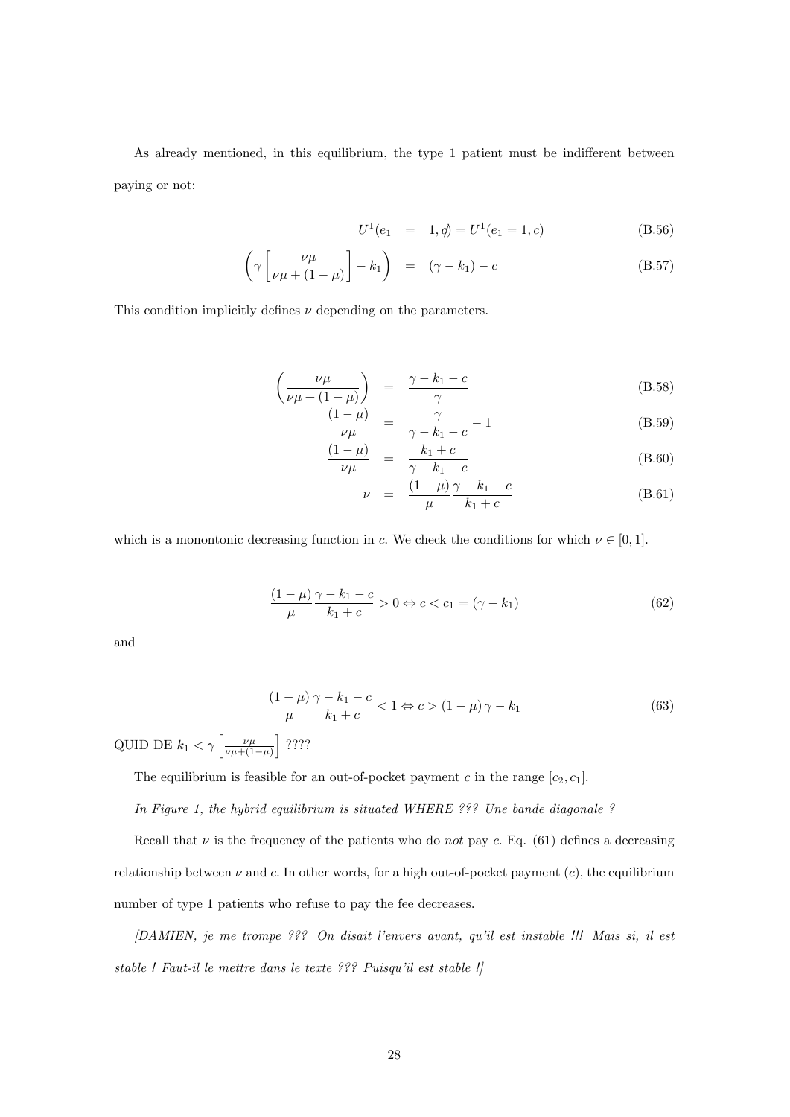As already mentioned, in this equilibrium, the type 1 patient must be indifferent between paying or not:

$$
U^{1}(e_{1} = 1, q) = U^{1}(e_{1} = 1, c)
$$
\n(B.56)

$$
\left(\gamma \left[\frac{\nu \mu}{\nu \mu + (1 - \mu)}\right] - k_1\right) = (\gamma - k_1) - c \tag{B.57}
$$

This condition implicitly defines  $\nu$  depending on the parameters.

$$
\left(\frac{\nu\mu}{\nu\mu + (1-\mu)}\right) = \frac{\gamma - k_1 - c}{\gamma} \tag{B.58}
$$

$$
\frac{(1-\mu)}{\nu\mu} = \frac{\gamma}{\gamma - k_1 - c} - 1
$$
 (B.59)

$$
\frac{(1-\mu)}{\nu\mu} = \frac{k_1+c}{\gamma - k_1-c}
$$
 (B.60)

$$
\nu = \frac{(1-\mu)\gamma - k_1 - c}{\mu k_1 + c}
$$
 (B.61)

which is a monontonic decreasing function in c. We check the conditions for which  $\nu \in [0, 1]$ .

$$
\frac{(1-\mu)\gamma - k_1 - c}{\mu} > 0 \Leftrightarrow c < c_1 = (\gamma - k_1)
$$
\n(62)

and

$$
\frac{(1-\mu)\gamma - k_1 - c}{\mu} < 1 \Leftrightarrow c > (1-\mu)\gamma - k_1 \tag{63}
$$

QUID DE  $k_1 < \gamma \left[ \frac{\nu \mu}{\nu \mu + (1-\mu)} \right]$ i ????

The equilibrium is feasible for an out-of-pocket payment  $c$  in the range  $[c_2, c_1]$ .

In Figure 1, the hybrid equilibrium is situated WHERE ??? Une bande diagonale ?

Recall that  $\nu$  is the frequency of the patients who do not pay c. Eq. (61) defines a decreasing relationship between  $\nu$  and  $c$ . In other words, for a high out-of-pocket payment  $(c)$ , the equilibrium number of type 1 patients who refuse to pay the fee decreases.

[DAMIEN, je me trompe ??? On disait líenvers avant, quíil est instable !!! Mais si, il est stable ! Faut-il le mettre dans le texte ??? Puisqu'il est stable !